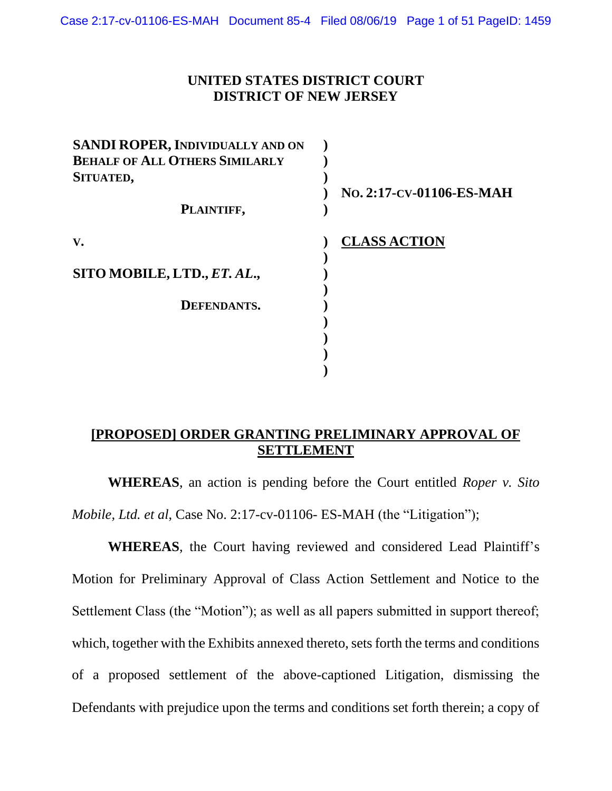## **UNITED STATES DISTRICT COURT DISTRICT OF NEW JERSEY**

| SANDI ROPER, INDIVIDUALLY AND ON      |                          |
|---------------------------------------|--------------------------|
| <b>BEHALF OF ALL OTHERS SIMILARLY</b> |                          |
| SITUATED,                             |                          |
|                                       | No. 2:17-CV-01106-ES-MAH |
| PLAINTIFF,                            |                          |
|                                       |                          |
| V.                                    | <b>CLASS ACTION</b>      |
|                                       |                          |
| SITO MOBILE, LTD., ET. AL.,           |                          |
|                                       |                          |
| DEFENDANTS.                           |                          |
|                                       |                          |
|                                       |                          |
|                                       |                          |
|                                       |                          |
|                                       |                          |

## **[PROPOSED] ORDER GRANTING PRELIMINARY APPROVAL OF SETTLEMENT**

**WHEREAS**, an action is pending before the Court entitled *Roper v. Sito Mobile, Ltd. et al*, Case No. 2:17-cv-01106- ES-MAH (the "Litigation");

**WHEREAS**, the Court having reviewed and considered Lead Plaintiff's Motion for Preliminary Approval of Class Action Settlement and Notice to the Settlement Class (the "Motion"); as well as all papers submitted in support thereof; which, together with the Exhibits annexed thereto, sets forth the terms and conditions of a proposed settlement of the above-captioned Litigation, dismissing the Defendants with prejudice upon the terms and conditions set forth therein; a copy of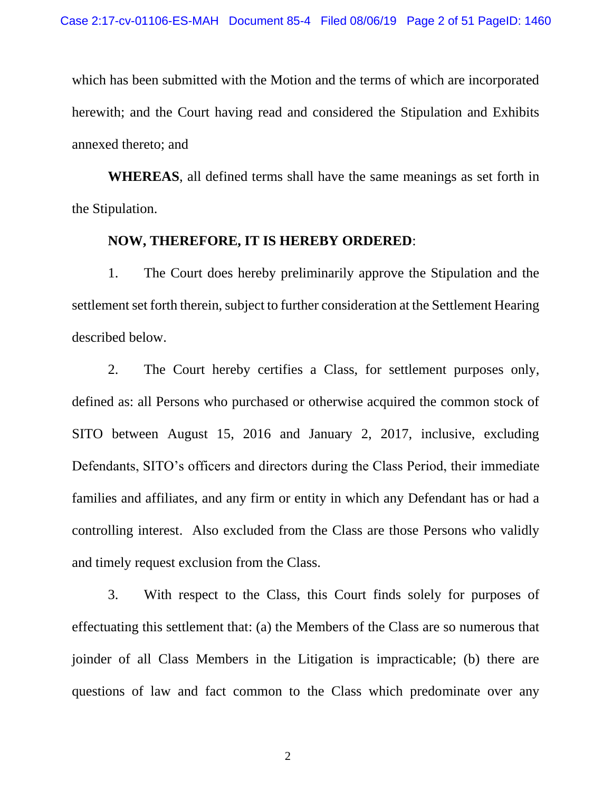which has been submitted with the Motion and the terms of which are incorporated herewith; and the Court having read and considered the Stipulation and Exhibits annexed thereto; and

**WHEREAS**, all defined terms shall have the same meanings as set forth in the Stipulation.

#### **NOW, THEREFORE, IT IS HEREBY ORDERED**:

1. The Court does hereby preliminarily approve the Stipulation and the settlement set forth therein, subject to further consideration at the Settlement Hearing described below.

2. The Court hereby certifies a Class, for settlement purposes only, defined as: all Persons who purchased or otherwise acquired the common stock of SITO between August 15, 2016 and January 2, 2017, inclusive, excluding Defendants, SITO's officers and directors during the Class Period, their immediate families and affiliates, and any firm or entity in which any Defendant has or had a controlling interest. Also excluded from the Class are those Persons who validly and timely request exclusion from the Class.

3. With respect to the Class, this Court finds solely for purposes of effectuating this settlement that: (a) the Members of the Class are so numerous that joinder of all Class Members in the Litigation is impracticable; (b) there are questions of law and fact common to the Class which predominate over any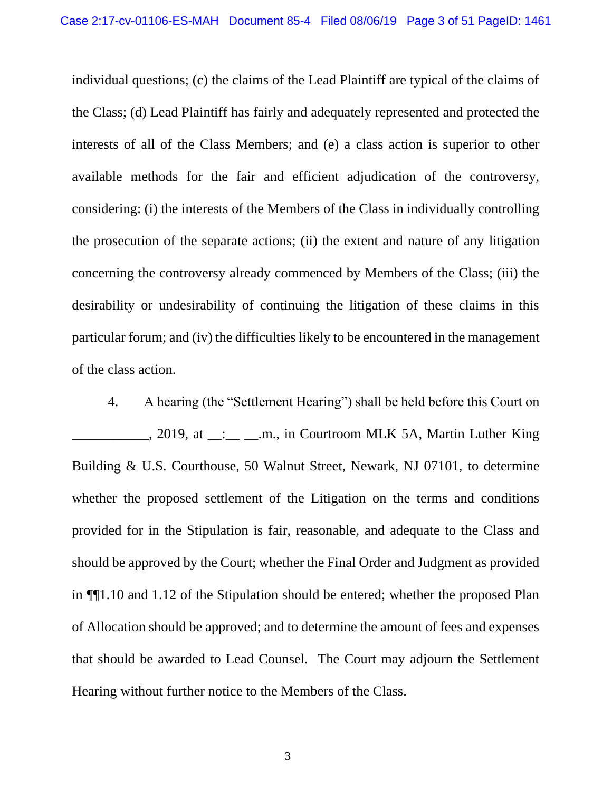individual questions; (c) the claims of the Lead Plaintiff are typical of the claims of the Class; (d) Lead Plaintiff has fairly and adequately represented and protected the interests of all of the Class Members; and (e) a class action is superior to other available methods for the fair and efficient adjudication of the controversy, considering: (i) the interests of the Members of the Class in individually controlling the prosecution of the separate actions; (ii) the extent and nature of any litigation concerning the controversy already commenced by Members of the Class; (iii) the desirability or undesirability of continuing the litigation of these claims in this particular forum; and (iv) the difficulties likely to be encountered in the management of the class action.

4. A hearing (the "Settlement Hearing") shall be held before this Court on \_\_\_\_\_\_\_\_\_\_\_, 2019, at \_\_:\_\_ \_\_.m., in Courtroom MLK 5A, Martin Luther King Building & U.S. Courthouse, 50 Walnut Street, Newark, NJ 07101, to determine whether the proposed settlement of the Litigation on the terms and conditions provided for in the Stipulation is fair, reasonable, and adequate to the Class and should be approved by the Court; whether the Final Order and Judgment as provided in ¶¶1.10 and 1.12 of the Stipulation should be entered; whether the proposed Plan of Allocation should be approved; and to determine the amount of fees and expenses that should be awarded to Lead Counsel. The Court may adjourn the Settlement Hearing without further notice to the Members of the Class.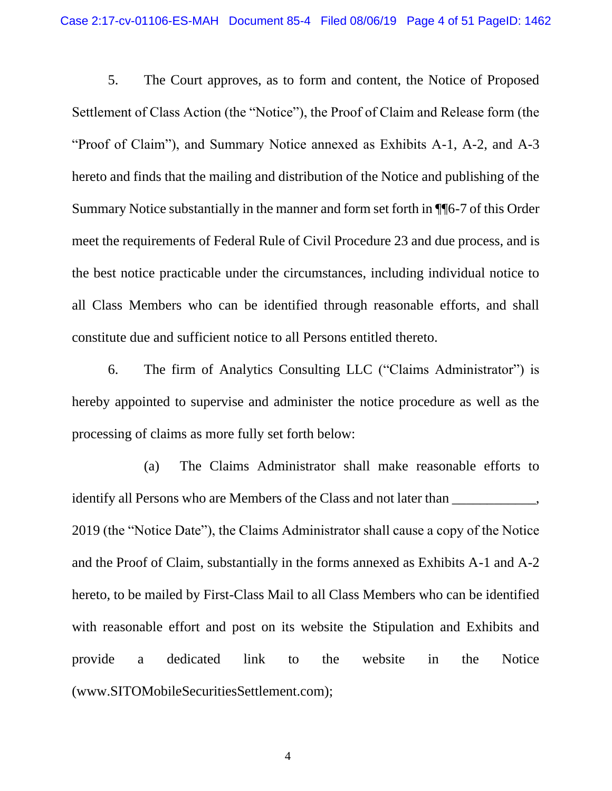5. The Court approves, as to form and content, the Notice of Proposed Settlement of Class Action (the "Notice"), the Proof of Claim and Release form (the "Proof of Claim"), and Summary Notice annexed as Exhibits A-1, A-2, and A-3 hereto and finds that the mailing and distribution of the Notice and publishing of the Summary Notice substantially in the manner and form set forth in ¶¶6-7 of this Order meet the requirements of Federal Rule of Civil Procedure 23 and due process, and is the best notice practicable under the circumstances, including individual notice to all Class Members who can be identified through reasonable efforts, and shall constitute due and sufficient notice to all Persons entitled thereto.

6. The firm of Analytics Consulting LLC ("Claims Administrator") is hereby appointed to supervise and administer the notice procedure as well as the processing of claims as more fully set forth below:

(a) The Claims Administrator shall make reasonable efforts to identify all Persons who are Members of the Class and not later than \_\_\_\_\_\_\_\_\_\_\_, 2019 (the "Notice Date"), the Claims Administrator shall cause a copy of the Notice and the Proof of Claim, substantially in the forms annexed as Exhibits A-1 and A-2 hereto, to be mailed by First-Class Mail to all Class Members who can be identified with reasonable effort and post on its website the Stipulation and Exhibits and provide a dedicated link to the website in the Notice (www.SITOMobileSecuritiesSettlement.com);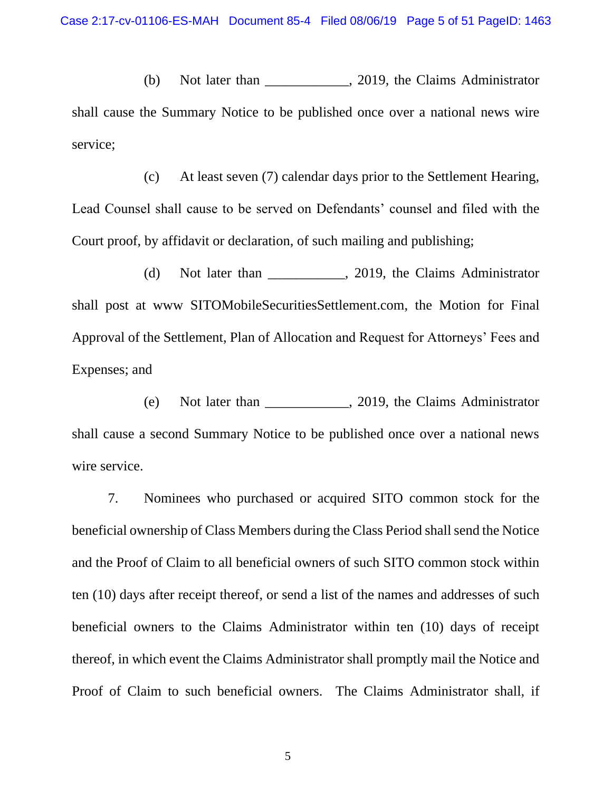(b) Not later than \_\_\_\_\_\_\_\_\_\_\_\_, 2019, the Claims Administrator shall cause the Summary Notice to be published once over a national news wire service;

(c) At least seven (7) calendar days prior to the Settlement Hearing, Lead Counsel shall cause to be served on Defendants' counsel and filed with the Court proof, by affidavit or declaration, of such mailing and publishing;

(d) Not later than \_\_\_\_\_\_\_\_\_\_\_, 2019, the Claims Administrator shall post at www SITOMobileSecuritiesSettlement.com, the Motion for Final Approval of the Settlement, Plan of Allocation and Request for Attorneys' Fees and Expenses; and

(e) Not later than \_\_\_\_\_\_\_\_\_\_\_\_, 2019, the Claims Administrator shall cause a second Summary Notice to be published once over a national news wire service.

7. Nominees who purchased or acquired SITO common stock for the beneficial ownership of Class Members during the Class Period shall send the Notice and the Proof of Claim to all beneficial owners of such SITO common stock within ten (10) days after receipt thereof, or send a list of the names and addresses of such beneficial owners to the Claims Administrator within ten (10) days of receipt thereof, in which event the Claims Administrator shall promptly mail the Notice and Proof of Claim to such beneficial owners. The Claims Administrator shall, if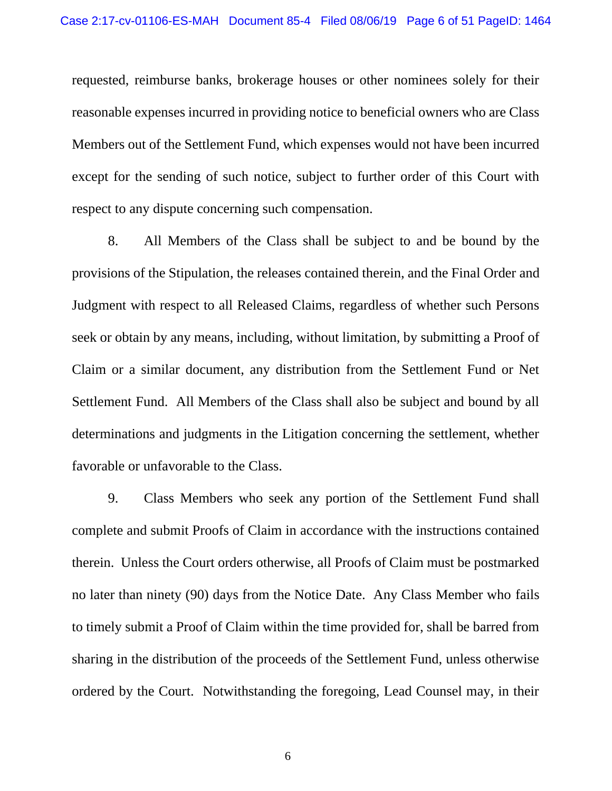requested, reimburse banks, brokerage houses or other nominees solely for their reasonable expenses incurred in providing notice to beneficial owners who are Class Members out of the Settlement Fund, which expenses would not have been incurred except for the sending of such notice, subject to further order of this Court with respect to any dispute concerning such compensation.

8. All Members of the Class shall be subject to and be bound by the provisions of the Stipulation, the releases contained therein, and the Final Order and Judgment with respect to all Released Claims, regardless of whether such Persons seek or obtain by any means, including, without limitation, by submitting a Proof of Claim or a similar document, any distribution from the Settlement Fund or Net Settlement Fund. All Members of the Class shall also be subject and bound by all determinations and judgments in the Litigation concerning the settlement, whether favorable or unfavorable to the Class.

9. Class Members who seek any portion of the Settlement Fund shall complete and submit Proofs of Claim in accordance with the instructions contained therein. Unless the Court orders otherwise, all Proofs of Claim must be postmarked no later than ninety (90) days from the Notice Date. Any Class Member who fails to timely submit a Proof of Claim within the time provided for, shall be barred from sharing in the distribution of the proceeds of the Settlement Fund, unless otherwise ordered by the Court. Notwithstanding the foregoing, Lead Counsel may, in their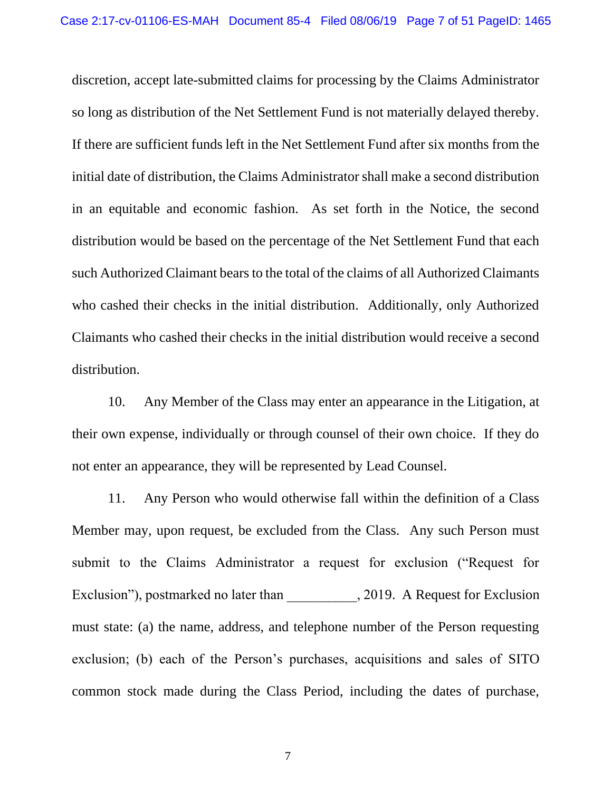discretion, accept late-submitted claims for processing by the Claims Administrator so long as distribution of the Net Settlement Fund is not materially delayed thereby. If there are sufficient funds left in the Net Settlement Fund after six months from the initial date of distribution, the Claims Administrator shall make a second distribution in an equitable and economic fashion. As set forth in the Notice, the second distribution would be based on the percentage of the Net Settlement Fund that each such Authorized Claimant bears to the total of the claims of all Authorized Claimants who cashed their checks in the initial distribution. Additionally, only Authorized Claimants who cashed their checks in the initial distribution would receive a second distribution.

10. Any Member of the Class may enter an appearance in the Litigation, at their own expense, individually or through counsel of their own choice. If they do not enter an appearance, they will be represented by Lead Counsel.

11. Any Person who would otherwise fall within the definition of a Class Member may, upon request, be excluded from the Class. Any such Person must submit to the Claims Administrator a request for exclusion ("Request for Exclusion"), postmarked no later than  $, 2019.$  A Request for Exclusion must state: (a) the name, address, and telephone number of the Person requesting exclusion; (b) each of the Person's purchases, acquisitions and sales of SITO common stock made during the Class Period, including the dates of purchase,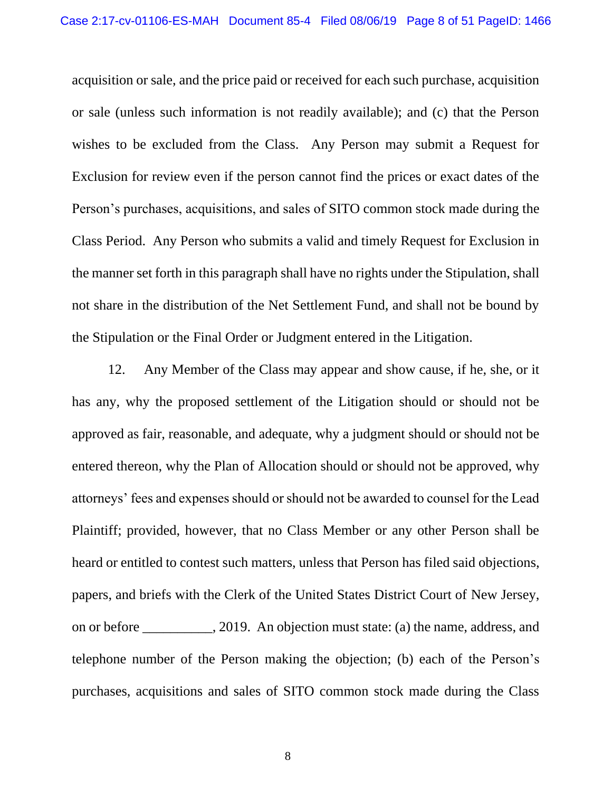acquisition or sale, and the price paid or received for each such purchase, acquisition or sale (unless such information is not readily available); and (c) that the Person wishes to be excluded from the Class. Any Person may submit a Request for Exclusion for review even if the person cannot find the prices or exact dates of the Person's purchases, acquisitions, and sales of SITO common stock made during the Class Period. Any Person who submits a valid and timely Request for Exclusion in the manner set forth in this paragraph shall have no rights under the Stipulation, shall not share in the distribution of the Net Settlement Fund, and shall not be bound by the Stipulation or the Final Order or Judgment entered in the Litigation.

12. Any Member of the Class may appear and show cause, if he, she, or it has any, why the proposed settlement of the Litigation should or should not be approved as fair, reasonable, and adequate, why a judgment should or should not be entered thereon, why the Plan of Allocation should or should not be approved, why attorneys' fees and expenses should or should not be awarded to counsel for the Lead Plaintiff; provided, however, that no Class Member or any other Person shall be heard or entitled to contest such matters, unless that Person has filed said objections, papers, and briefs with the Clerk of the United States District Court of New Jersey, on or before . 2019. An objection must state: (a) the name, address, and telephone number of the Person making the objection; (b) each of the Person's purchases, acquisitions and sales of SITO common stock made during the Class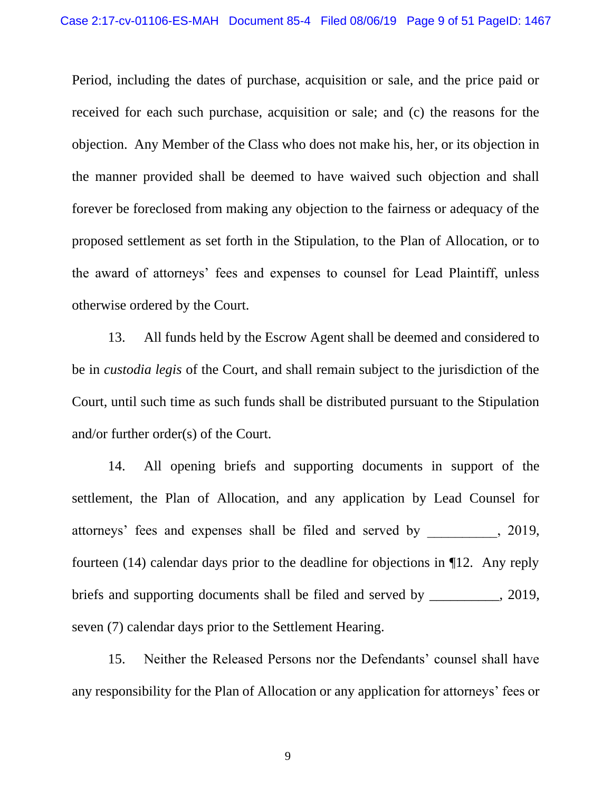Period, including the dates of purchase, acquisition or sale, and the price paid or received for each such purchase, acquisition or sale; and (c) the reasons for the objection. Any Member of the Class who does not make his, her, or its objection in the manner provided shall be deemed to have waived such objection and shall forever be foreclosed from making any objection to the fairness or adequacy of the proposed settlement as set forth in the Stipulation, to the Plan of Allocation, or to the award of attorneys' fees and expenses to counsel for Lead Plaintiff, unless otherwise ordered by the Court.

13. All funds held by the Escrow Agent shall be deemed and considered to be in *custodia legis* of the Court, and shall remain subject to the jurisdiction of the Court, until such time as such funds shall be distributed pursuant to the Stipulation and/or further order(s) of the Court.

14. All opening briefs and supporting documents in support of the settlement, the Plan of Allocation, and any application by Lead Counsel for attorneys' fees and expenses shall be filed and served by \_\_\_\_\_\_\_\_\_\_, 2019, fourteen (14) calendar days prior to the deadline for objections in ¶12. Any reply briefs and supporting documents shall be filed and served by \_\_\_\_\_\_\_\_, 2019, seven (7) calendar days prior to the Settlement Hearing.

15. Neither the Released Persons nor the Defendants' counsel shall have any responsibility for the Plan of Allocation or any application for attorneys' fees or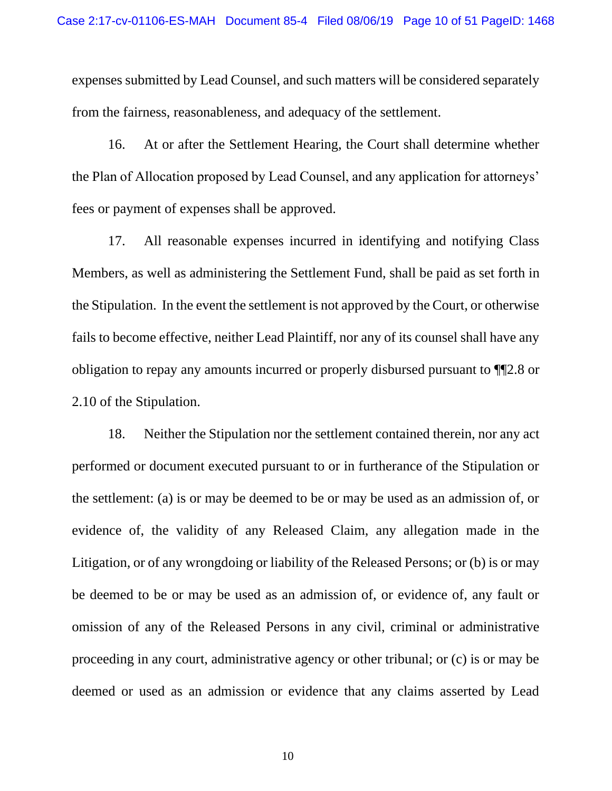expenses submitted by Lead Counsel, and such matters will be considered separately from the fairness, reasonableness, and adequacy of the settlement.

16. At or after the Settlement Hearing, the Court shall determine whether the Plan of Allocation proposed by Lead Counsel, and any application for attorneys' fees or payment of expenses shall be approved.

17. All reasonable expenses incurred in identifying and notifying Class Members, as well as administering the Settlement Fund, shall be paid as set forth in the Stipulation. In the event the settlement is not approved by the Court, or otherwise fails to become effective, neither Lead Plaintiff, nor any of its counsel shall have any obligation to repay any amounts incurred or properly disbursed pursuant to ¶¶2.8 or 2.10 of the Stipulation.

18. Neither the Stipulation nor the settlement contained therein, nor any act performed or document executed pursuant to or in furtherance of the Stipulation or the settlement: (a) is or may be deemed to be or may be used as an admission of, or evidence of, the validity of any Released Claim, any allegation made in the Litigation, or of any wrongdoing or liability of the Released Persons; or (b) is or may be deemed to be or may be used as an admission of, or evidence of, any fault or omission of any of the Released Persons in any civil, criminal or administrative proceeding in any court, administrative agency or other tribunal; or (c) is or may be deemed or used as an admission or evidence that any claims asserted by Lead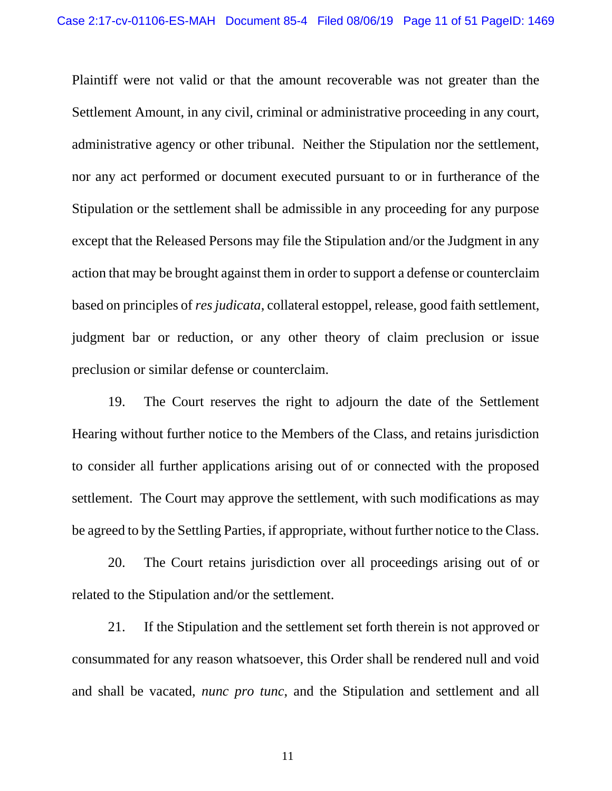Plaintiff were not valid or that the amount recoverable was not greater than the Settlement Amount, in any civil, criminal or administrative proceeding in any court, administrative agency or other tribunal. Neither the Stipulation nor the settlement, nor any act performed or document executed pursuant to or in furtherance of the Stipulation or the settlement shall be admissible in any proceeding for any purpose except that the Released Persons may file the Stipulation and/or the Judgment in any action that may be brought against them in order to support a defense or counterclaim based on principles of *res judicata*, collateral estoppel, release, good faith settlement, judgment bar or reduction, or any other theory of claim preclusion or issue preclusion or similar defense or counterclaim.

19. The Court reserves the right to adjourn the date of the Settlement Hearing without further notice to the Members of the Class, and retains jurisdiction to consider all further applications arising out of or connected with the proposed settlement. The Court may approve the settlement, with such modifications as may be agreed to by the Settling Parties, if appropriate, without further notice to the Class.

20. The Court retains jurisdiction over all proceedings arising out of or related to the Stipulation and/or the settlement.

21. If the Stipulation and the settlement set forth therein is not approved or consummated for any reason whatsoever, this Order shall be rendered null and void and shall be vacated, *nunc pro tunc*, and the Stipulation and settlement and all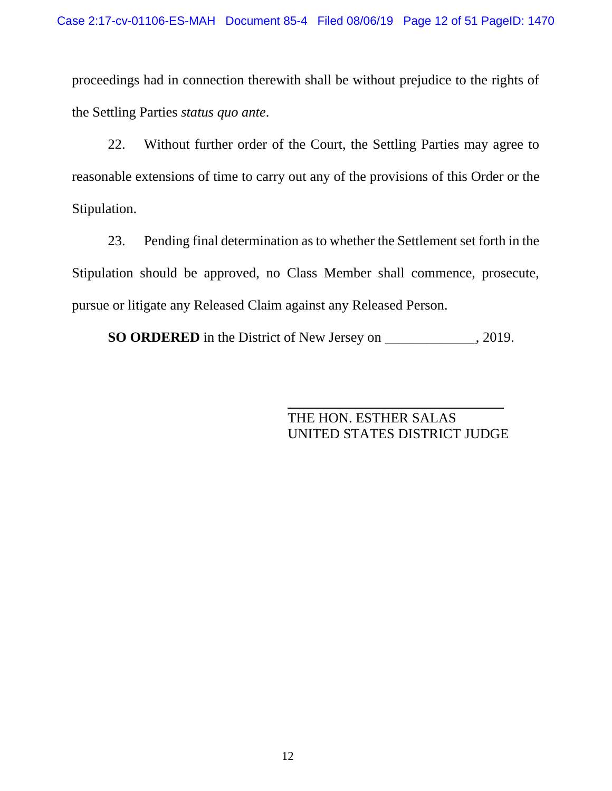proceedings had in connection therewith shall be without prejudice to the rights of the Settling Parties *status quo ante*.

22. Without further order of the Court, the Settling Parties may agree to reasonable extensions of time to carry out any of the provisions of this Order or the Stipulation.

23. Pending final determination as to whether the Settlement set forth in the Stipulation should be approved, no Class Member shall commence, prosecute, pursue or litigate any Released Claim against any Released Person.

**SO ORDERED** in the District of New Jersey on \_\_\_\_\_\_\_\_\_\_\_\_\_, 2019.

THE HON. ESTHER SALAS UNITED STATES DISTRICT JUDGE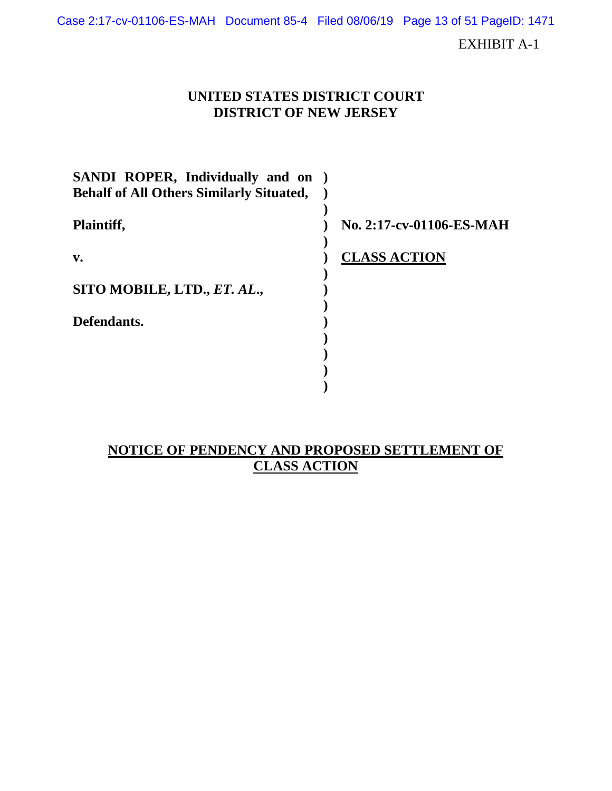Case 2:17-cv-01106-ES-MAH Document 85-4 Filed 08/06/19 Page 13 of 51 PageID: 1471

EXHIBIT A-1

## **UNITED STATES DISTRICT COURT DISTRICT OF NEW JERSEY**

| SANDI ROPER, Individually and on                |                          |
|-------------------------------------------------|--------------------------|
| <b>Behalf of All Others Similarly Situated,</b> |                          |
| Plaintiff,                                      | No. 2:17-cv-01106-ES-MAH |
| $\mathbf{v}$ .                                  | <b>CLASS ACTION</b>      |
| SITO MOBILE, LTD., ET. AL.,                     |                          |
| Defendants.                                     |                          |
|                                                 |                          |
|                                                 |                          |
|                                                 |                          |

## **NOTICE OF PENDENCY AND PROPOSED SETTLEMENT OF CLASS ACTION**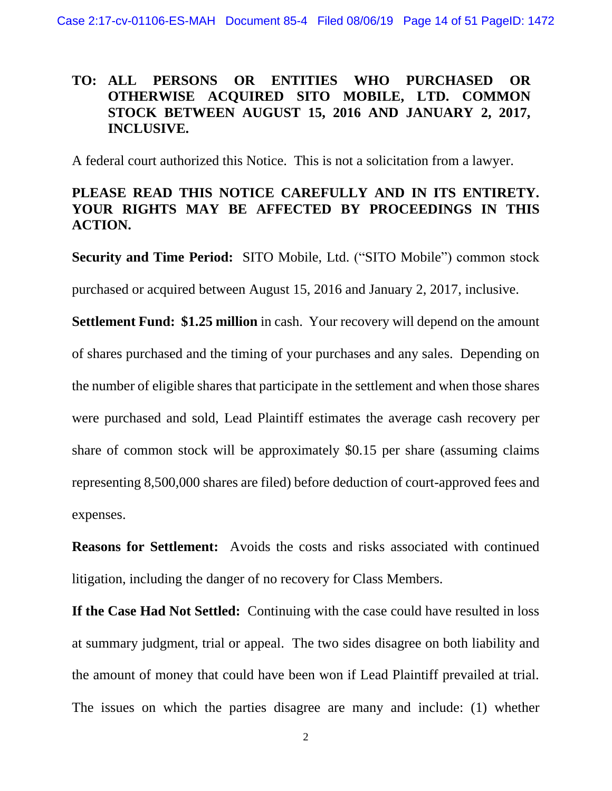# **TO: ALL PERSONS OR ENTITIES WHO PURCHASED OR OTHERWISE ACQUIRED SITO MOBILE, LTD. COMMON STOCK BETWEEN AUGUST 15, 2016 AND JANUARY 2, 2017, INCLUSIVE.**

A federal court authorized this Notice. This is not a solicitation from a lawyer.

# **PLEASE READ THIS NOTICE CAREFULLY AND IN ITS ENTIRETY. YOUR RIGHTS MAY BE AFFECTED BY PROCEEDINGS IN THIS ACTION.**

**Security and Time Period:** SITO Mobile, Ltd. ("SITO Mobile") common stock

purchased or acquired between August 15, 2016 and January 2, 2017, inclusive.

**Settlement Fund: \$1.25 million** in cash. Your recovery will depend on the amount of shares purchased and the timing of your purchases and any sales. Depending on the number of eligible shares that participate in the settlement and when those shares were purchased and sold, Lead Plaintiff estimates the average cash recovery per share of common stock will be approximately \$0.15 per share (assuming claims representing 8,500,000 shares are filed) before deduction of court-approved fees and expenses.

**Reasons for Settlement:** Avoids the costs and risks associated with continued litigation, including the danger of no recovery for Class Members.

**If the Case Had Not Settled:** Continuing with the case could have resulted in loss at summary judgment, trial or appeal. The two sides disagree on both liability and the amount of money that could have been won if Lead Plaintiff prevailed at trial. The issues on which the parties disagree are many and include: (1) whether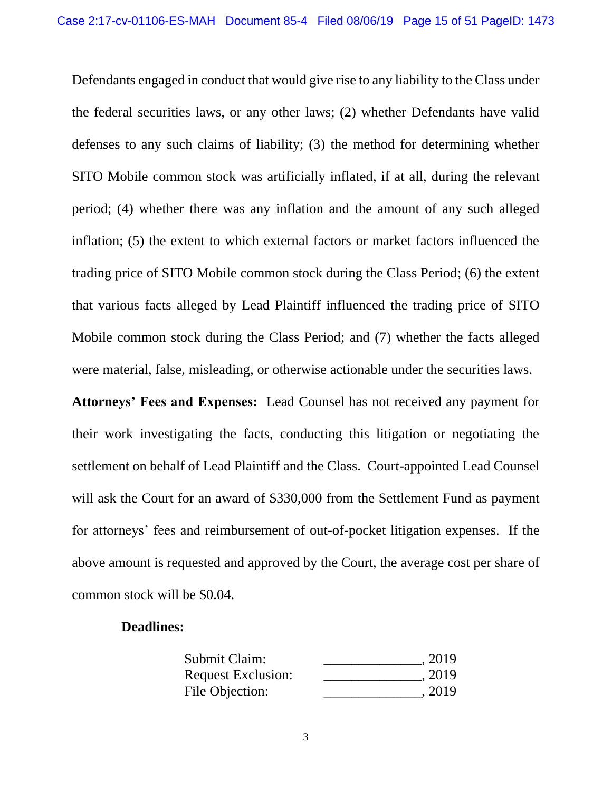Defendants engaged in conduct that would give rise to any liability to the Class under the federal securities laws, or any other laws; (2) whether Defendants have valid defenses to any such claims of liability; (3) the method for determining whether SITO Mobile common stock was artificially inflated, if at all, during the relevant period; (4) whether there was any inflation and the amount of any such alleged inflation; (5) the extent to which external factors or market factors influenced the trading price of SITO Mobile common stock during the Class Period; (6) the extent that various facts alleged by Lead Plaintiff influenced the trading price of SITO Mobile common stock during the Class Period; and (7) whether the facts alleged were material, false, misleading, or otherwise actionable under the securities laws.

**Attorneys' Fees and Expenses:** Lead Counsel has not received any payment for their work investigating the facts, conducting this litigation or negotiating the settlement on behalf of Lead Plaintiff and the Class. Court-appointed Lead Counsel will ask the Court for an award of \$330,000 from the Settlement Fund as payment for attorneys' fees and reimbursement of out-of-pocket litigation expenses. If the above amount is requested and approved by the Court, the average cost per share of common stock will be \$0.04.

### **Deadlines:**

| Submit Claim:             | , 2019 |
|---------------------------|--------|
| <b>Request Exclusion:</b> | , 2019 |
| File Objection:           | . 2019 |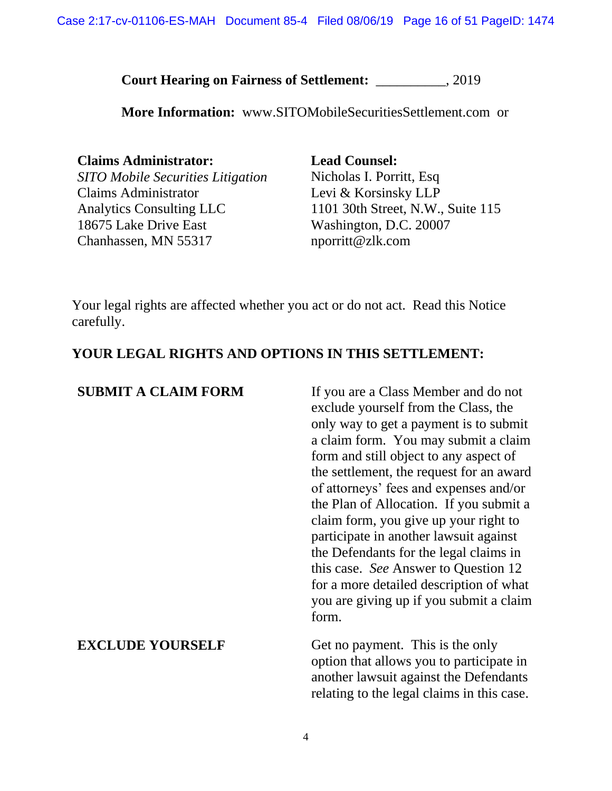**Court Hearing on Fairness of Settlement:** \_\_\_\_\_\_\_\_\_\_, 2019

**More Information:** www.SITOMobileSecuritiesSettlement.com or

**Claims Administrator: Lead Counsel:** *SITO Mobile Securities Litigation* Claims Administrator Analytics Consulting LLC 18675 Lake Drive East Chanhassen, MN 55317

Nicholas I. Porritt, Esq Levi & Korsinsky LLP 1101 30th Street, N.W., Suite 115 Washington, D.C. 20007 nporritt@zlk.com

Your legal rights are affected whether you act or do not act. Read this Notice carefully.

## **YOUR LEGAL RIGHTS AND OPTIONS IN THIS SETTLEMENT:**

| <b>SUBMIT A CLAIM FORM</b> | If you are a Class Member and do not<br>exclude yourself from the Class, the<br>only way to get a payment is to submit<br>a claim form. You may submit a claim<br>form and still object to any aspect of<br>the settlement, the request for an award<br>of attorneys' fees and expenses and/or<br>the Plan of Allocation. If you submit a<br>claim form, you give up your right to<br>participate in another lawsuit against<br>the Defendants for the legal claims in<br>this case. See Answer to Question 12<br>for a more detailed description of what<br>you are giving up if you submit a claim<br>form. |
|----------------------------|---------------------------------------------------------------------------------------------------------------------------------------------------------------------------------------------------------------------------------------------------------------------------------------------------------------------------------------------------------------------------------------------------------------------------------------------------------------------------------------------------------------------------------------------------------------------------------------------------------------|
| <b>EXCLUDE YOURSELF</b>    | Get no payment. This is the only<br>option that allows you to participate in<br>another lawsuit against the Defendants<br>relating to the legal claims in this case.                                                                                                                                                                                                                                                                                                                                                                                                                                          |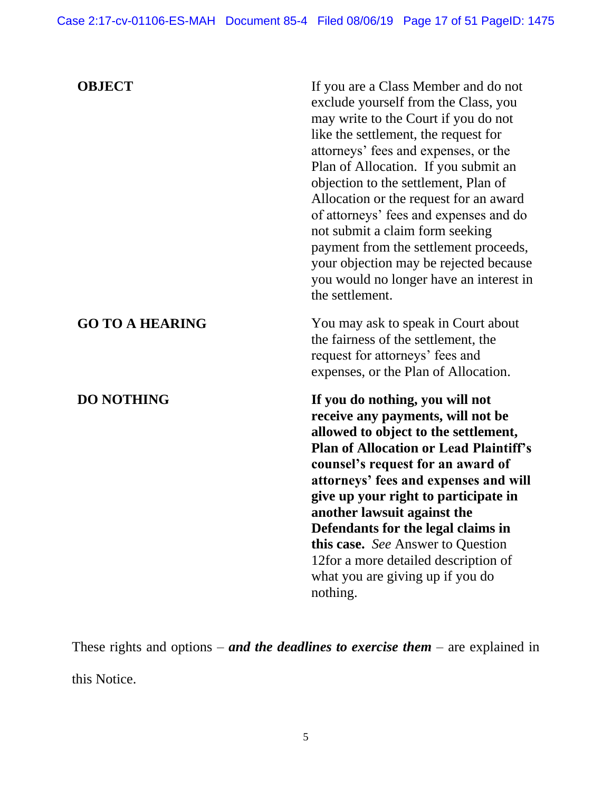| <b>OBJECT</b>          | If you are a Class Member and do not<br>exclude yourself from the Class, you<br>may write to the Court if you do not<br>like the settlement, the request for<br>attorneys' fees and expenses, or the<br>Plan of Allocation. If you submit an<br>objection to the settlement, Plan of<br>Allocation or the request for an award<br>of attorneys' fees and expenses and do<br>not submit a claim form seeking<br>payment from the settlement proceeds,<br>your objection may be rejected because<br>you would no longer have an interest in<br>the settlement. |
|------------------------|--------------------------------------------------------------------------------------------------------------------------------------------------------------------------------------------------------------------------------------------------------------------------------------------------------------------------------------------------------------------------------------------------------------------------------------------------------------------------------------------------------------------------------------------------------------|
| <b>GO TO A HEARING</b> | You may ask to speak in Court about<br>the fairness of the settlement, the<br>request for attorneys' fees and<br>expenses, or the Plan of Allocation.                                                                                                                                                                                                                                                                                                                                                                                                        |
| <b>DO NOTHING</b>      | If you do nothing, you will not<br>receive any payments, will not be<br>allowed to object to the settlement,<br><b>Plan of Allocation or Lead Plaintiff's</b><br>counsel's request for an award of<br>attorneys' fees and expenses and will<br>give up your right to participate in<br>another lawsuit against the<br>Defendants for the legal claims in<br>this case. See Answer to Question<br>12for a more detailed description of<br>what you are giving up if you do<br>nothing.                                                                        |

These rights and options – *and the deadlines to exercise them* – are explained in this Notice.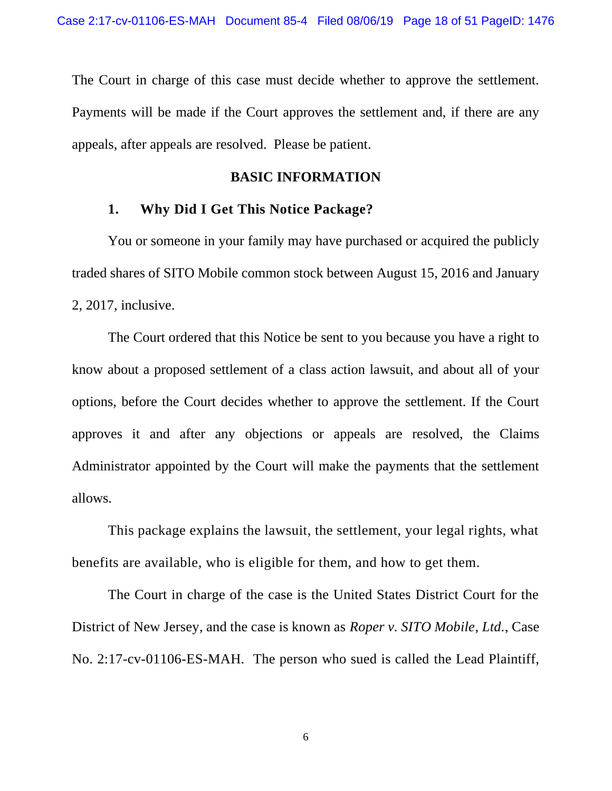The Court in charge of this case must decide whether to approve the settlement. Payments will be made if the Court approves the settlement and, if there are any appeals, after appeals are resolved. Please be patient.

#### **BASIC INFORMATION**

### **1. Why Did I Get This Notice Package?**

You or someone in your family may have purchased or acquired the publicly traded shares of SITO Mobile common stock between August 15, 2016 and January 2, 2017, inclusive.

The Court ordered that this Notice be sent to you because you have a right to know about a proposed settlement of a class action lawsuit, and about all of your options, before the Court decides whether to approve the settlement. If the Court approves it and after any objections or appeals are resolved, the Claims Administrator appointed by the Court will make the payments that the settlement allows.

This package explains the lawsuit, the settlement, your legal rights, what benefits are available, who is eligible for them, and how to get them.

The Court in charge of the case is the United States District Court for the District of New Jersey, and the case is known as *Roper v. SITO Mobile, Ltd.*, Case No. 2:17-cv-01106-ES-MAH. The person who sued is called the Lead Plaintiff,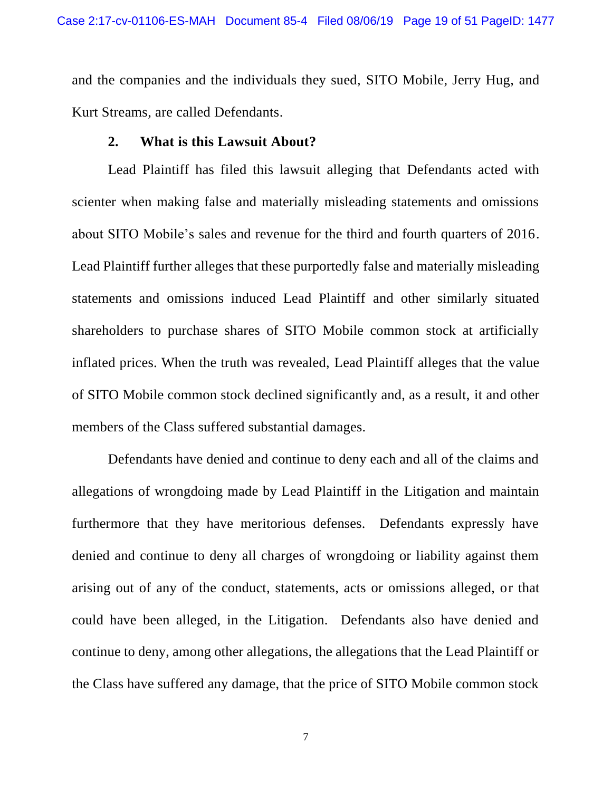and the companies and the individuals they sued, SITO Mobile, Jerry Hug, and Kurt Streams, are called Defendants.

### **2. What is this Lawsuit About?**

Lead Plaintiff has filed this lawsuit alleging that Defendants acted with scienter when making false and materially misleading statements and omissions about SITO Mobile's sales and revenue for the third and fourth quarters of 2016. Lead Plaintiff further alleges that these purportedly false and materially misleading statements and omissions induced Lead Plaintiff and other similarly situated shareholders to purchase shares of SITO Mobile common stock at artificially inflated prices. When the truth was revealed, Lead Plaintiff alleges that the value of SITO Mobile common stock declined significantly and, as a result, it and other members of the Class suffered substantial damages.

Defendants have denied and continue to deny each and all of the claims and allegations of wrongdoing made by Lead Plaintiff in the Litigation and maintain furthermore that they have meritorious defenses. Defendants expressly have denied and continue to deny all charges of wrongdoing or liability against them arising out of any of the conduct, statements, acts or omissions alleged, or that could have been alleged, in the Litigation. Defendants also have denied and continue to deny, among other allegations, the allegations that the Lead Plaintiff or the Class have suffered any damage, that the price of SITO Mobile common stock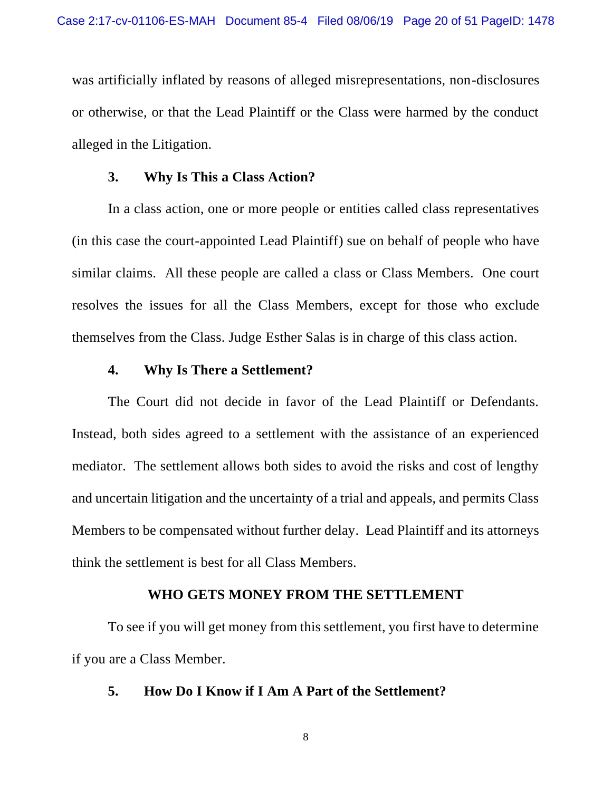was artificially inflated by reasons of alleged misrepresentations, non-disclosures or otherwise, or that the Lead Plaintiff or the Class were harmed by the conduct alleged in the Litigation.

#### **3. Why Is This a Class Action?**

In a class action, one or more people or entities called class representatives (in this case the court-appointed Lead Plaintiff) sue on behalf of people who have similar claims. All these people are called a class or Class Members. One court resolves the issues for all the Class Members, except for those who exclude themselves from the Class. Judge Esther Salas is in charge of this class action.

## **4. Why Is There a Settlement?**

The Court did not decide in favor of the Lead Plaintiff or Defendants. Instead, both sides agreed to a settlement with the assistance of an experienced mediator. The settlement allows both sides to avoid the risks and cost of lengthy and uncertain litigation and the uncertainty of a trial and appeals, and permits Class Members to be compensated without further delay. Lead Plaintiff and its attorneys think the settlement is best for all Class Members.

### **WHO GETS MONEY FROM THE SETTLEMENT**

To see if you will get money from this settlement, you first have to determine if you are a Class Member.

### **5. How Do I Know if I Am A Part of the Settlement?**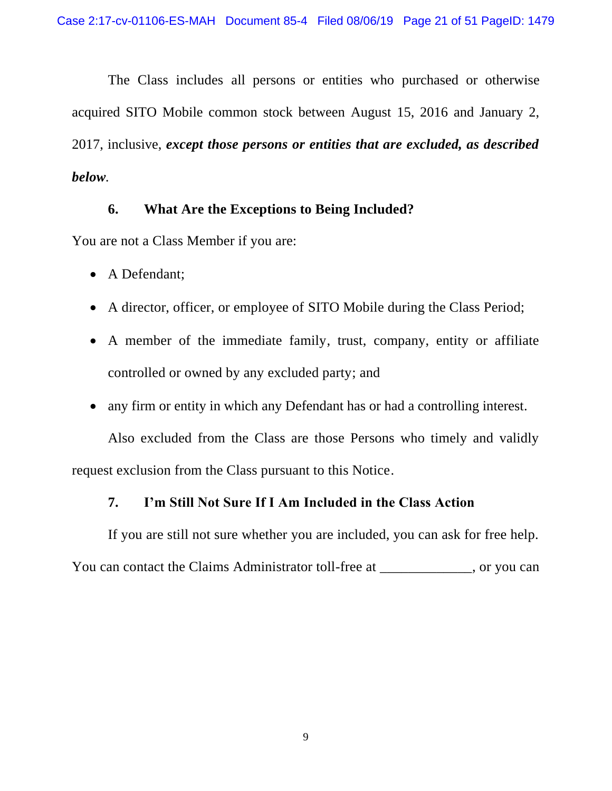The Class includes all persons or entities who purchased or otherwise acquired SITO Mobile common stock between August 15, 2016 and January 2, 2017, inclusive, *except those persons or entities that are excluded, as described below.*

## **6. What Are the Exceptions to Being Included?**

You are not a Class Member if you are:

- A Defendant;
- A director, officer, or employee of SITO Mobile during the Class Period;
- A member of the immediate family, trust, company, entity or affiliate controlled or owned by any excluded party; and
- any firm or entity in which any Defendant has or had a controlling interest.

Also excluded from the Class are those Persons who timely and validly request exclusion from the Class pursuant to this Notice.

## **7. I'm Still Not Sure If I Am Included in the Class Action**

If you are still not sure whether you are included, you can ask for free help.

You can contact the Claims Administrator toll-free at \_\_\_\_\_\_\_\_\_\_, or you can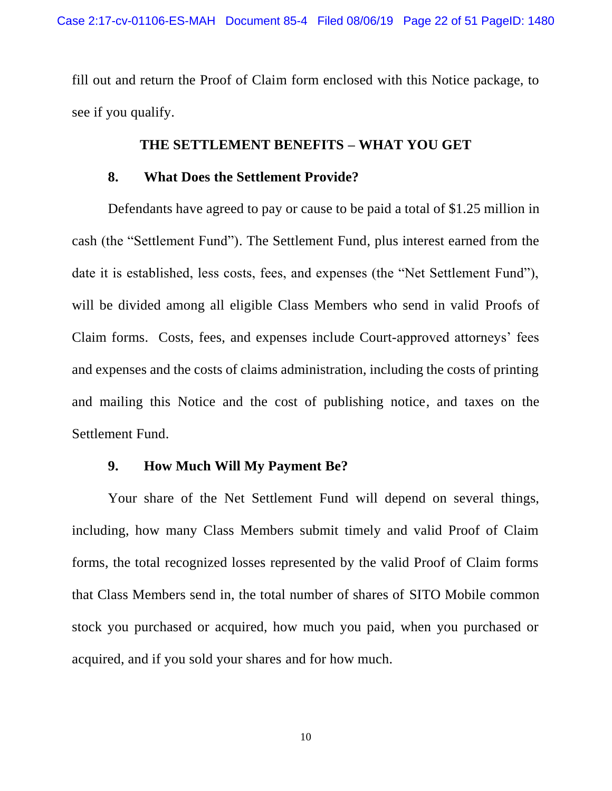fill out and return the Proof of Claim form enclosed with this Notice package, to see if you qualify.

### **THE SETTLEMENT BENEFITS – WHAT YOU GET**

### **8. What Does the Settlement Provide?**

Defendants have agreed to pay or cause to be paid a total of \$1.25 million in cash (the "Settlement Fund"). The Settlement Fund, plus interest earned from the date it is established, less costs, fees, and expenses (the "Net Settlement Fund"), will be divided among all eligible Class Members who send in valid Proofs of Claim forms. Costs, fees, and expenses include Court-approved attorneys' fees and expenses and the costs of claims administration, including the costs of printing and mailing this Notice and the cost of publishing notice, and taxes on the Settlement Fund.

## **9. How Much Will My Payment Be?**

Your share of the Net Settlement Fund will depend on several things, including, how many Class Members submit timely and valid Proof of Claim forms, the total recognized losses represented by the valid Proof of Claim forms that Class Members send in, the total number of shares of SITO Mobile common stock you purchased or acquired, how much you paid, when you purchased or acquired, and if you sold your shares and for how much.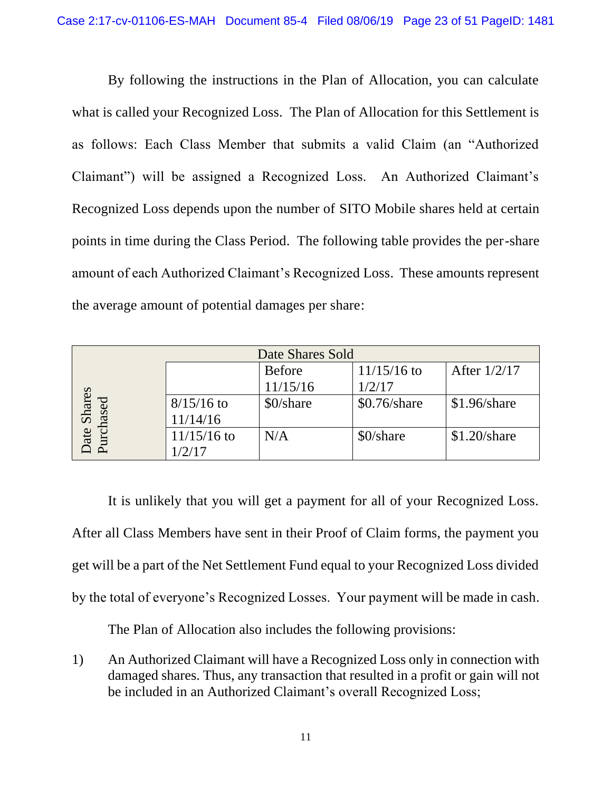By following the instructions in the Plan of Allocation, you can calculate what is called your Recognized Loss. The Plan of Allocation for this Settlement is as follows: Each Class Member that submits a valid Claim (an "Authorized Claimant") will be assigned a Recognized Loss. An Authorized Claimant's Recognized Loss depends upon the number of SITO Mobile shares held at certain points in time during the Class Period. The following table provides the per-share amount of each Authorized Claimant's Recognized Loss. These amounts represent the average amount of potential damages per share:

| Date Shares Sold      |               |               |                |                |
|-----------------------|---------------|---------------|----------------|----------------|
|                       |               | <b>Before</b> | $11/15/16$ to  | After 1/2/17   |
|                       |               | 11/15/16      | 1/2/17         |                |
| <b>Shares</b><br>ased | $8/15/16$ to  | \$0/share     | $$0.76$ /share | $$1.96/s$ hare |
|                       | 11/14/16      |               |                |                |
| ate                   | $11/15/16$ to | N/A           | \$0/share      | $$1.20/s$ hare |
|                       | 1/2/17        |               |                |                |

It is unlikely that you will get a payment for all of your Recognized Loss. After all Class Members have sent in their Proof of Claim forms, the payment you get will be a part of the Net Settlement Fund equal to your Recognized Loss divided by the total of everyone's Recognized Losses. Your payment will be made in cash.

The Plan of Allocation also includes the following provisions:

1) An Authorized Claimant will have a Recognized Loss only in connection with damaged shares. Thus, any transaction that resulted in a profit or gain will not be included in an Authorized Claimant's overall Recognized Loss;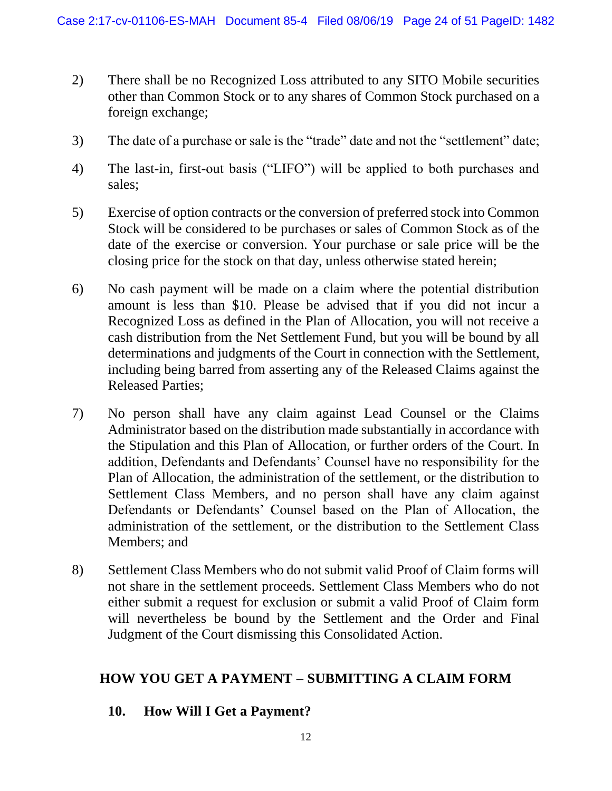- 2) There shall be no Recognized Loss attributed to any SITO Mobile securities other than Common Stock or to any shares of Common Stock purchased on a foreign exchange;
- 3) The date of a purchase or sale is the "trade" date and not the "settlement" date;
- 4) The last-in, first-out basis ("LIFO") will be applied to both purchases and sales;
- 5) Exercise of option contracts or the conversion of preferred stock into Common Stock will be considered to be purchases or sales of Common Stock as of the date of the exercise or conversion. Your purchase or sale price will be the closing price for the stock on that day, unless otherwise stated herein;
- 6) No cash payment will be made on a claim where the potential distribution amount is less than \$10. Please be advised that if you did not incur a Recognized Loss as defined in the Plan of Allocation, you will not receive a cash distribution from the Net Settlement Fund, but you will be bound by all determinations and judgments of the Court in connection with the Settlement, including being barred from asserting any of the Released Claims against the Released Parties;
- 7) No person shall have any claim against Lead Counsel or the Claims Administrator based on the distribution made substantially in accordance with the Stipulation and this Plan of Allocation, or further orders of the Court. In addition, Defendants and Defendants' Counsel have no responsibility for the Plan of Allocation, the administration of the settlement, or the distribution to Settlement Class Members, and no person shall have any claim against Defendants or Defendants' Counsel based on the Plan of Allocation, the administration of the settlement, or the distribution to the Settlement Class Members; and
- 8) Settlement Class Members who do not submit valid Proof of Claim forms will not share in the settlement proceeds. Settlement Class Members who do not either submit a request for exclusion or submit a valid Proof of Claim form will nevertheless be bound by the Settlement and the Order and Final Judgment of the Court dismissing this Consolidated Action.

# **HOW YOU GET A PAYMENT – SUBMITTING A CLAIM FORM**

# **10. How Will I Get a Payment?**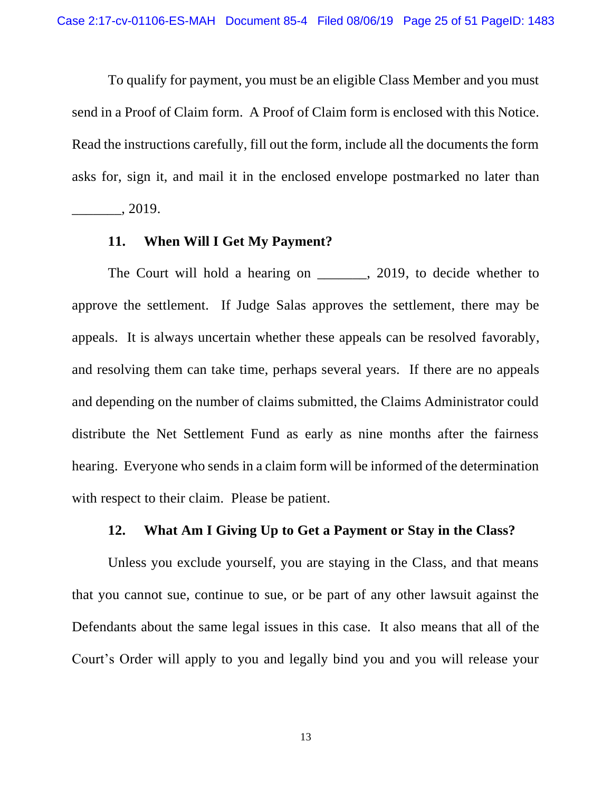To qualify for payment, you must be an eligible Class Member and you must send in a Proof of Claim form. A Proof of Claim form is enclosed with this Notice. Read the instructions carefully, fill out the form, include all the documents the form asks for, sign it, and mail it in the enclosed envelope postmarked no later than

\_\_\_\_\_\_\_, 2019.

#### **11. When Will I Get My Payment?**

The Court will hold a hearing on \_\_\_\_\_\_, 2019, to decide whether to approve the settlement. If Judge Salas approves the settlement, there may be appeals. It is always uncertain whether these appeals can be resolved favorably, and resolving them can take time, perhaps several years. If there are no appeals and depending on the number of claims submitted, the Claims Administrator could distribute the Net Settlement Fund as early as nine months after the fairness hearing. Everyone who sends in a claim form will be informed of the determination with respect to their claim. Please be patient.

### **12. What Am I Giving Up to Get a Payment or Stay in the Class?**

Unless you exclude yourself, you are staying in the Class, and that means that you cannot sue, continue to sue, or be part of any other lawsuit against the Defendants about the same legal issues in this case. It also means that all of the Court's Order will apply to you and legally bind you and you will release your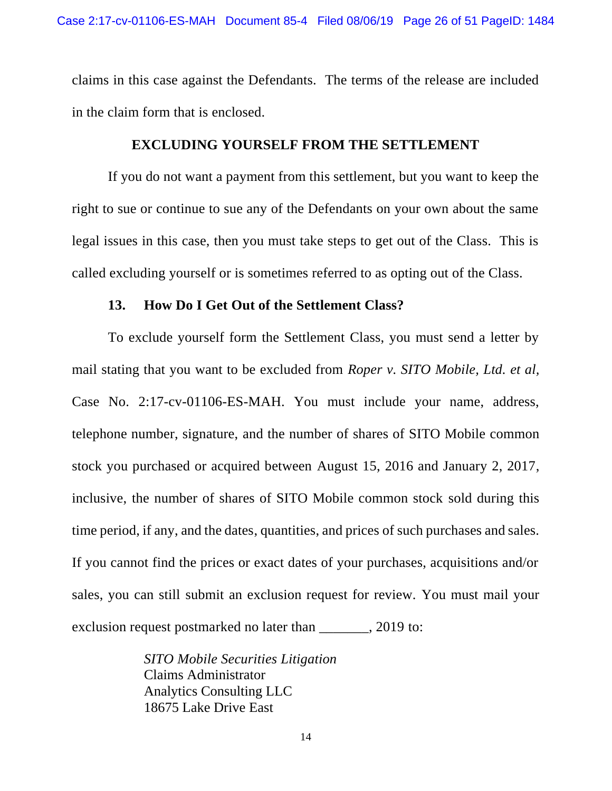claims in this case against the Defendants. The terms of the release are included in the claim form that is enclosed.

### **EXCLUDING YOURSELF FROM THE SETTLEMENT**

If you do not want a payment from this settlement, but you want to keep the right to sue or continue to sue any of the Defendants on your own about the same legal issues in this case, then you must take steps to get out of the Class. This is called excluding yourself or is sometimes referred to as opting out of the Class.

#### **13. How Do I Get Out of the Settlement Class?**

To exclude yourself form the Settlement Class, you must send a letter by mail stating that you want to be excluded from *Roper v. SITO Mobile, Ltd. et al,* Case No. 2:17-cv-01106-ES-MAH. You must include your name, address, telephone number, signature, and the number of shares of SITO Mobile common stock you purchased or acquired between August 15, 2016 and January 2, 2017, inclusive, the number of shares of SITO Mobile common stock sold during this time period, if any, and the dates, quantities, and prices of such purchases and sales. If you cannot find the prices or exact dates of your purchases, acquisitions and/or sales, you can still submit an exclusion request for review. You must mail your exclusion request postmarked no later than \_\_\_\_\_\_, 2019 to:

> *SITO Mobile Securities Litigation* Claims Administrator Analytics Consulting LLC 18675 Lake Drive East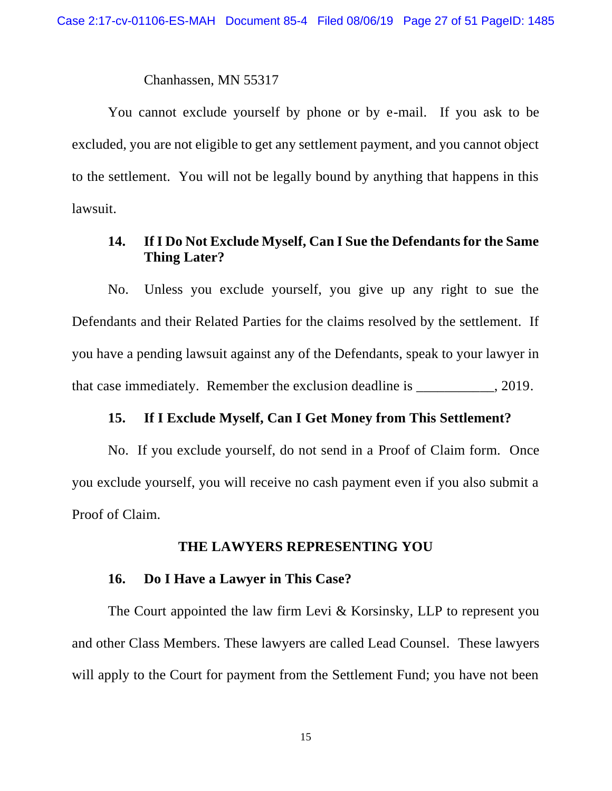#### Chanhassen, MN 55317

You cannot exclude yourself by phone or by e-mail. If you ask to be excluded, you are not eligible to get any settlement payment, and you cannot object to the settlement. You will not be legally bound by anything that happens in this lawsuit.

## **14. If I Do Not Exclude Myself, Can I Sue the Defendants for the Same Thing Later?**

No. Unless you exclude yourself, you give up any right to sue the Defendants and their Related Parties for the claims resolved by the settlement. If you have a pending lawsuit against any of the Defendants, speak to your lawyer in that case immediately. Remember the exclusion deadline is  $\qquad \qquad$ , 2019.

### **15. If I Exclude Myself, Can I Get Money from This Settlement?**

No. If you exclude yourself, do not send in a Proof of Claim form. Once you exclude yourself, you will receive no cash payment even if you also submit a Proof of Claim.

### **THE LAWYERS REPRESENTING YOU**

### **16. Do I Have a Lawyer in This Case?**

The Court appointed the law firm Levi & Korsinsky, LLP to represent you and other Class Members. These lawyers are called Lead Counsel. These lawyers will apply to the Court for payment from the Settlement Fund; you have not been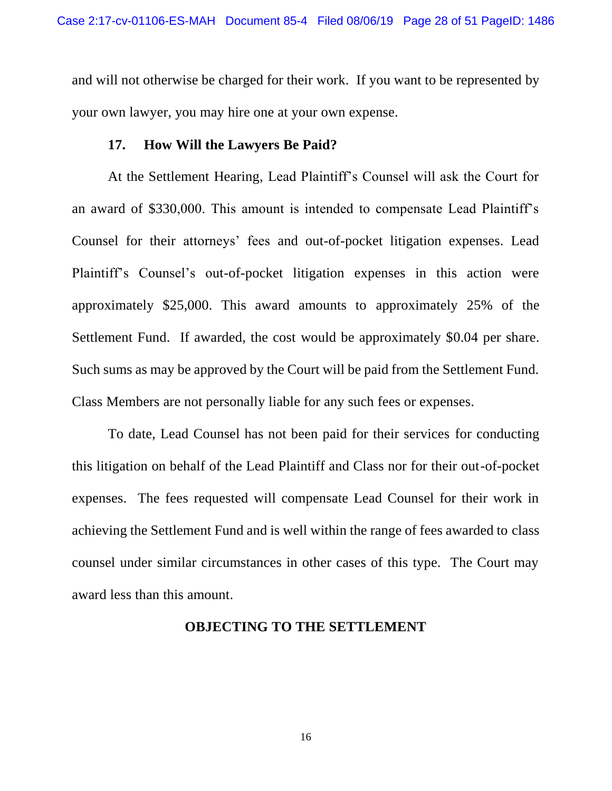and will not otherwise be charged for their work. If you want to be represented by your own lawyer, you may hire one at your own expense.

### **17. How Will the Lawyers Be Paid?**

At the Settlement Hearing, Lead Plaintiff's Counsel will ask the Court for an award of \$330,000. This amount is intended to compensate Lead Plaintiff's Counsel for their attorneys' fees and out-of-pocket litigation expenses. Lead Plaintiff's Counsel's out-of-pocket litigation expenses in this action were approximately \$25,000. This award amounts to approximately 25% of the Settlement Fund. If awarded, the cost would be approximately \$0.04 per share. Such sums as may be approved by the Court will be paid from the Settlement Fund. Class Members are not personally liable for any such fees or expenses.

To date, Lead Counsel has not been paid for their services for conducting this litigation on behalf of the Lead Plaintiff and Class nor for their out-of-pocket expenses. The fees requested will compensate Lead Counsel for their work in achieving the Settlement Fund and is well within the range of fees awarded to class counsel under similar circumstances in other cases of this type. The Court may award less than this amount.

## **OBJECTING TO THE SETTLEMENT**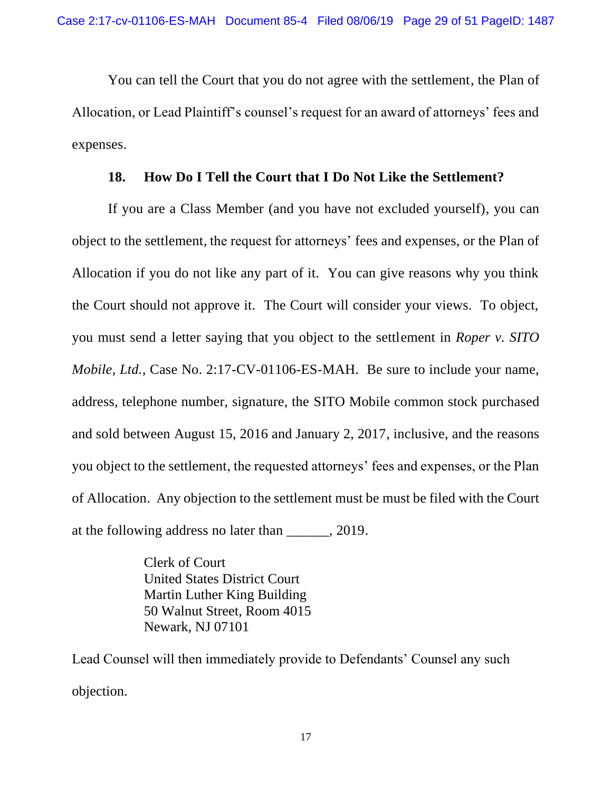You can tell the Court that you do not agree with the settlement, the Plan of Allocation, or Lead Plaintiff's counsel's request for an award of attorneys' fees and expenses.

## **18. How Do I Tell the Court that I Do Not Like the Settlement?**

If you are a Class Member (and you have not excluded yourself), you can object to the settlement, the request for attorneys' fees and expenses, or the Plan of Allocation if you do not like any part of it. You can give reasons why you think the Court should not approve it. The Court will consider your views. To object, you must send a letter saying that you object to the settlement in *Roper v. SITO Mobile, Ltd.,* Case No. 2:17-CV-01106-ES-MAH. Be sure to include your name, address, telephone number, signature, the SITO Mobile common stock purchased and sold between August 15, 2016 and January 2, 2017, inclusive, and the reasons you object to the settlement, the requested attorneys' fees and expenses, or the Plan of Allocation. Any objection to the settlement must be must be filed with the Court at the following address no later than \_\_\_\_\_\_, 2019.

> Clerk of Court United States District Court Martin Luther King Building 50 Walnut Street, Room 4015 Newark, NJ 07101

Lead Counsel will then immediately provide to Defendants' Counsel any such objection.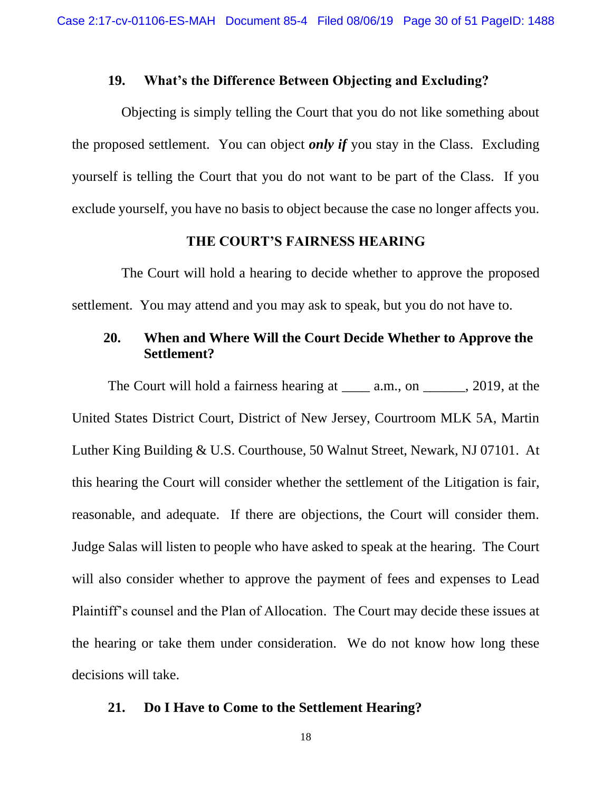### **19. What's the Difference Between Objecting and Excluding?**

Objecting is simply telling the Court that you do not like something about the proposed settlement. You can object *only if* you stay in the Class. Excluding yourself is telling the Court that you do not want to be part of the Class. If you exclude yourself, you have no basis to object because the case no longer affects you.

#### **THE COURT'S FAIRNESS HEARING**

The Court will hold a hearing to decide whether to approve the proposed settlement. You may attend and you may ask to speak, but you do not have to.

## **20. When and Where Will the Court Decide Whether to Approve the Settlement?**

The Court will hold a fairness hearing at a.m., on , 2019, at the United States District Court, District of New Jersey, Courtroom MLK 5A, Martin Luther King Building & U.S. Courthouse, 50 Walnut Street, Newark, NJ 07101. At this hearing the Court will consider whether the settlement of the Litigation is fair, reasonable, and adequate. If there are objections, the Court will consider them. Judge Salas will listen to people who have asked to speak at the hearing. The Court will also consider whether to approve the payment of fees and expenses to Lead Plaintiff's counsel and the Plan of Allocation. The Court may decide these issues at the hearing or take them under consideration. We do not know how long these decisions will take.

#### **21. Do I Have to Come to the Settlement Hearing?**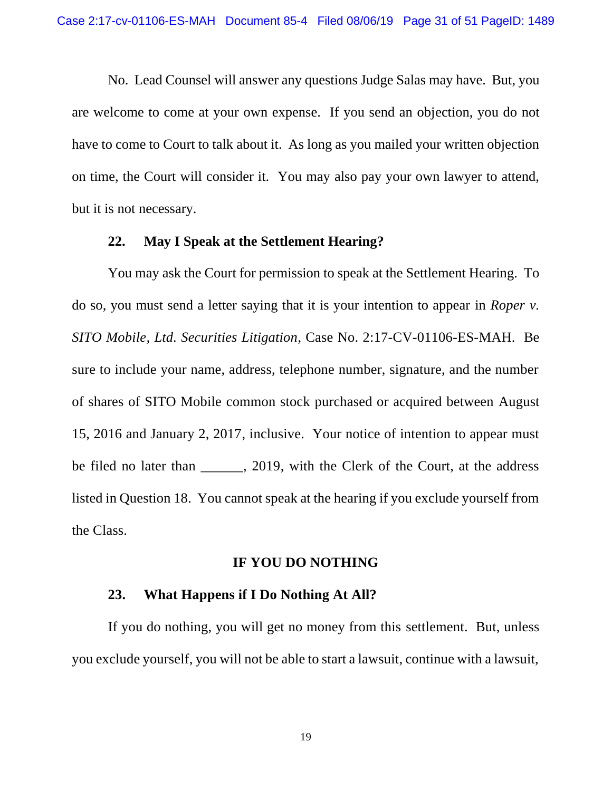No. Lead Counsel will answer any questions Judge Salas may have. But, you are welcome to come at your own expense. If you send an objection, you do not have to come to Court to talk about it. As long as you mailed your written objection on time, the Court will consider it. You may also pay your own lawyer to attend, but it is not necessary.

#### **22. May I Speak at the Settlement Hearing?**

You may ask the Court for permission to speak at the Settlement Hearing. To do so, you must send a letter saying that it is your intention to appear in *Roper v. SITO Mobile, Ltd. Securities Litigation*, Case No. 2:17-CV-01106-ES-MAH. Be sure to include your name, address, telephone number, signature, and the number of shares of SITO Mobile common stock purchased or acquired between August 15, 2016 and January 2, 2017, inclusive. Your notice of intention to appear must be filed no later than \_\_\_\_\_, 2019, with the Clerk of the Court, at the address listed in Question 18. You cannot speak at the hearing if you exclude yourself from the Class.

### **IF YOU DO NOTHING**

## **23. What Happens if I Do Nothing At All?**

If you do nothing, you will get no money from this settlement. But, unless you exclude yourself, you will not be able to start a lawsuit, continue with a lawsuit,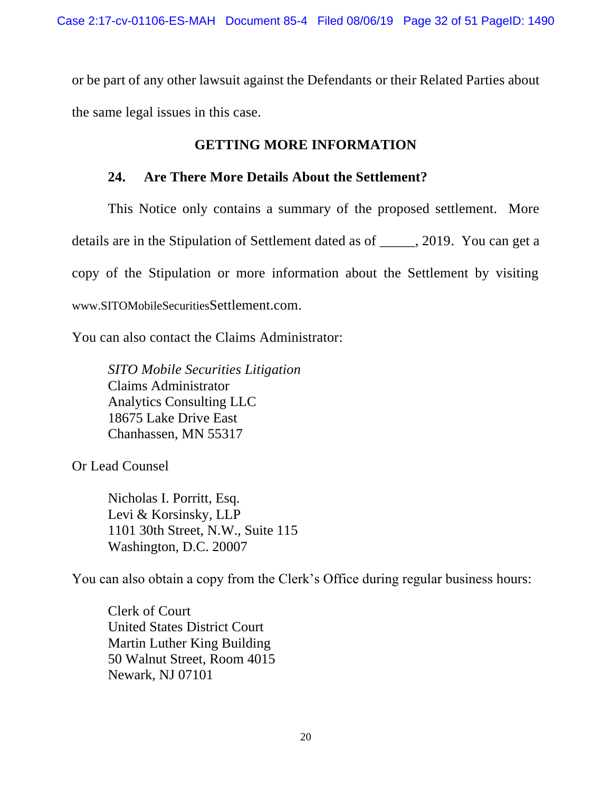or be part of any other lawsuit against the Defendants or their Related Parties about the same legal issues in this case.

# **GETTING MORE INFORMATION**

## **24. Are There More Details About the Settlement?**

This Notice only contains a summary of the proposed settlement. More details are in the Stipulation of Settlement dated as of \_\_\_\_\_, 2019. You can get a copy of the Stipulation or more information about the Settlement by visiting www.SITOMobileSecuritiesSettlement.com.

You can also contact the Claims Administrator:

*SITO Mobile Securities Litigation* Claims Administrator Analytics Consulting LLC 18675 Lake Drive East Chanhassen, MN 55317

Or Lead Counsel

Nicholas I. Porritt, Esq. Levi & Korsinsky, LLP 1101 30th Street, N.W., Suite 115 Washington, D.C. 20007

You can also obtain a copy from the Clerk's Office during regular business hours:

Clerk of Court United States District Court Martin Luther King Building 50 Walnut Street, Room 4015 Newark, NJ 07101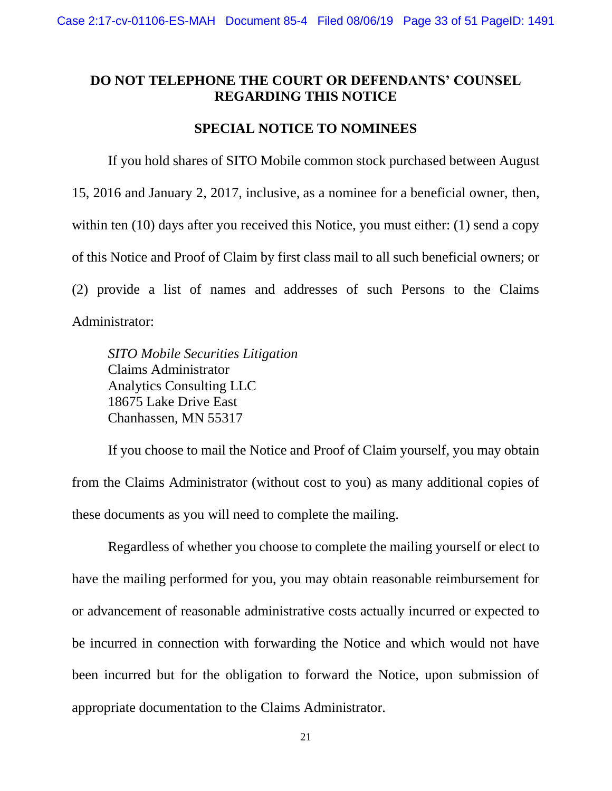## **DO NOT TELEPHONE THE COURT OR DEFENDANTS' COUNSEL REGARDING THIS NOTICE**

## **SPECIAL NOTICE TO NOMINEES**

If you hold shares of SITO Mobile common stock purchased between August 15, 2016 and January 2, 2017, inclusive, as a nominee for a beneficial owner, then, within ten (10) days after you received this Notice, you must either: (1) send a copy of this Notice and Proof of Claim by first class mail to all such beneficial owners; or (2) provide a list of names and addresses of such Persons to the Claims Administrator:

*SITO Mobile Securities Litigation* Claims Administrator Analytics Consulting LLC 18675 Lake Drive East Chanhassen, MN 55317

If you choose to mail the Notice and Proof of Claim yourself, you may obtain from the Claims Administrator (without cost to you) as many additional copies of these documents as you will need to complete the mailing.

Regardless of whether you choose to complete the mailing yourself or elect to have the mailing performed for you, you may obtain reasonable reimbursement for or advancement of reasonable administrative costs actually incurred or expected to be incurred in connection with forwarding the Notice and which would not have been incurred but for the obligation to forward the Notice, upon submission of appropriate documentation to the Claims Administrator.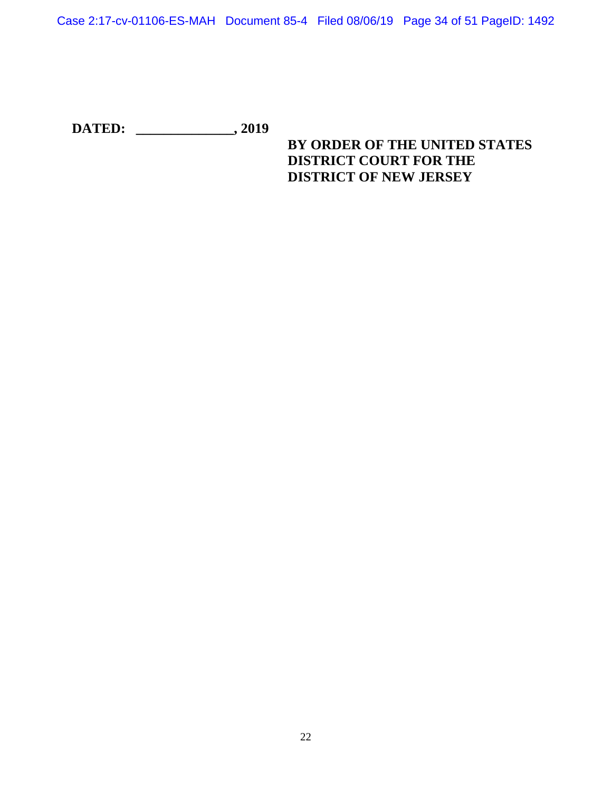Case 2:17-cv-01106-ES-MAH Document 85-4 Filed 08/06/19 Page 34 of 51 PageID: 1492

**DATED: \_\_\_\_\_\_\_\_\_\_\_\_\_\_, 2019**

# **BY ORDER OF THE UNITED STATES DISTRICT COURT FOR THE DISTRICT OF NEW JERSEY**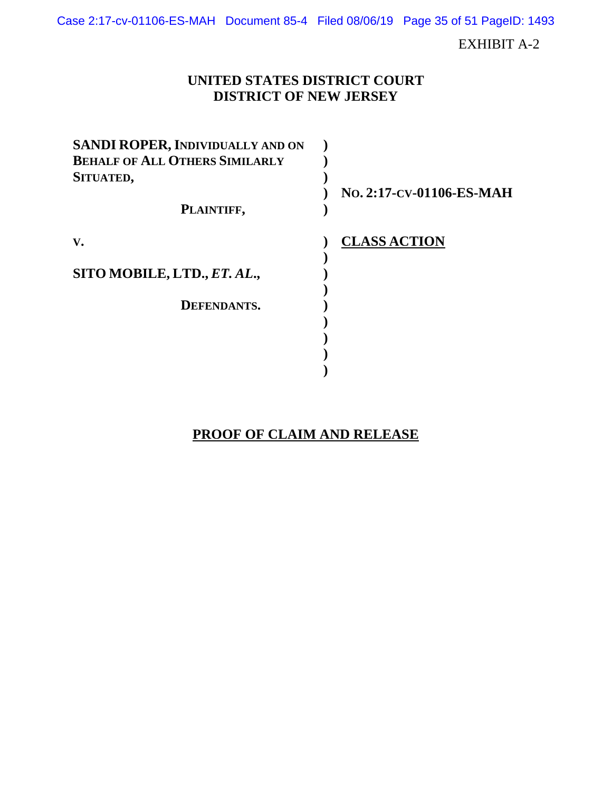Case 2:17-cv-01106-ES-MAH Document 85-4 Filed 08/06/19 Page 35 of 51 PageID: 1493

EXHIBIT A-2

# **UNITED STATES DISTRICT COURT DISTRICT OF NEW JERSEY**

| <b>SANDI ROPER, INDIVIDUALLY AND ON</b> |                          |
|-----------------------------------------|--------------------------|
| <b>BEHALF OF ALL OTHERS SIMILARLY</b>   |                          |
| SITUATED,                               |                          |
|                                         | No. 2:17-CV-01106-ES-MAH |
| PLAINTIFF,                              |                          |
| V.                                      | <b>CLASS ACTION</b>      |
|                                         |                          |
| SITO MOBILE, LTD., ET. AL.,             |                          |
|                                         |                          |
| DEFENDANTS.                             |                          |
|                                         |                          |
|                                         |                          |
|                                         |                          |
|                                         |                          |

# **PROOF OF CLAIM AND RELEASE**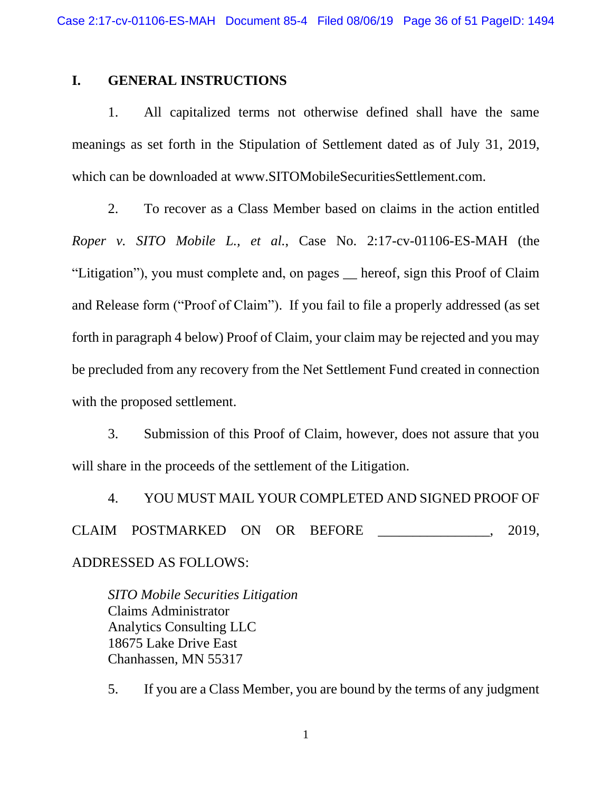## **I. GENERAL INSTRUCTIONS**

1. All capitalized terms not otherwise defined shall have the same meanings as set forth in the Stipulation of Settlement dated as of July 31, 2019, which can be downloaded at www.SITOMobileSecuritiesSettlement.com.

2. To recover as a Class Member based on claims in the action entitled *Roper v. SITO Mobile L., et al.*, Case No. 2:17-cv-01106-ES-MAH (the "Litigation"), you must complete and, on pages \_\_ hereof, sign this Proof of Claim and Release form ("Proof of Claim"). If you fail to file a properly addressed (as set forth in paragraph 4 below) Proof of Claim, your claim may be rejected and you may be precluded from any recovery from the Net Settlement Fund created in connection with the proposed settlement.

3. Submission of this Proof of Claim, however, does not assure that you will share in the proceeds of the settlement of the Litigation.

4. YOU MUST MAIL YOUR COMPLETED AND SIGNED PROOF OF CLAIM POSTMARKED ON OR BEFORE . 2019, ADDRESSED AS FOLLOWS:

*SITO Mobile Securities Litigation* Claims Administrator Analytics Consulting LLC 18675 Lake Drive East Chanhassen, MN 55317

5. If you are a Class Member, you are bound by the terms of any judgment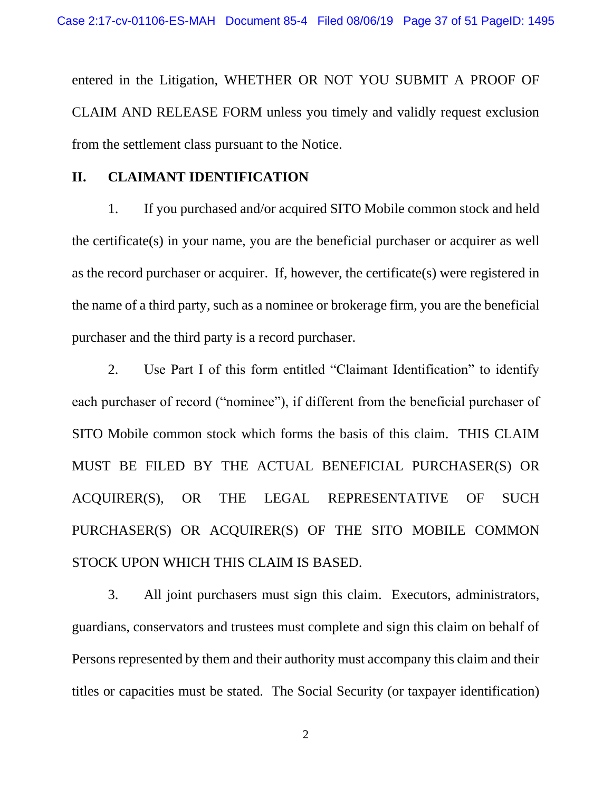entered in the Litigation, WHETHER OR NOT YOU SUBMIT A PROOF OF CLAIM AND RELEASE FORM unless you timely and validly request exclusion from the settlement class pursuant to the Notice.

### **II. CLAIMANT IDENTIFICATION**

1. If you purchased and/or acquired SITO Mobile common stock and held the certificate(s) in your name, you are the beneficial purchaser or acquirer as well as the record purchaser or acquirer. If, however, the certificate(s) were registered in the name of a third party, such as a nominee or brokerage firm, you are the beneficial purchaser and the third party is a record purchaser.

2. Use Part I of this form entitled "Claimant Identification" to identify each purchaser of record ("nominee"), if different from the beneficial purchaser of SITO Mobile common stock which forms the basis of this claim. THIS CLAIM MUST BE FILED BY THE ACTUAL BENEFICIAL PURCHASER(S) OR ACQUIRER(S), OR THE LEGAL REPRESENTATIVE OF SUCH PURCHASER(S) OR ACQUIRER(S) OF THE SITO MOBILE COMMON STOCK UPON WHICH THIS CLAIM IS BASED.

3. All joint purchasers must sign this claim. Executors, administrators, guardians, conservators and trustees must complete and sign this claim on behalf of Persons represented by them and their authority must accompany this claim and their titles or capacities must be stated. The Social Security (or taxpayer identification)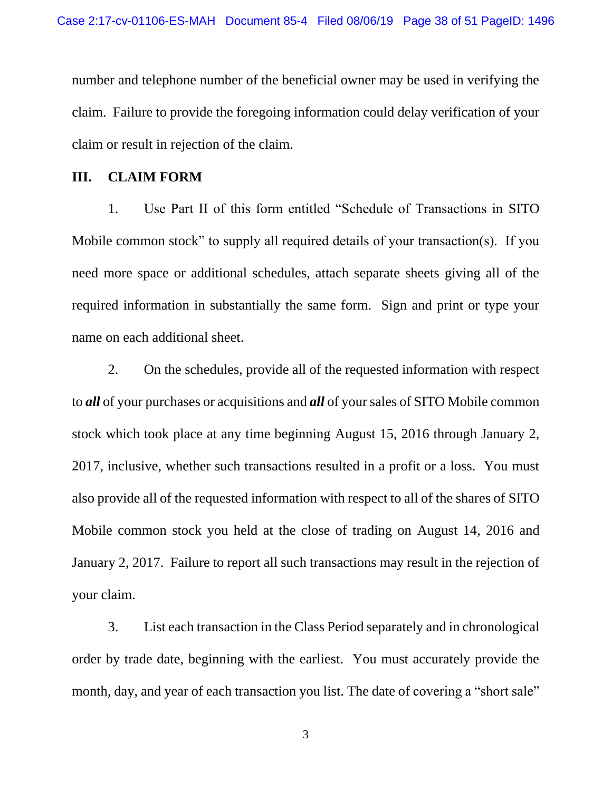number and telephone number of the beneficial owner may be used in verifying the claim. Failure to provide the foregoing information could delay verification of your claim or result in rejection of the claim.

### **III. CLAIM FORM**

1. Use Part II of this form entitled "Schedule of Transactions in SITO Mobile common stock" to supply all required details of your transaction(s). If you need more space or additional schedules, attach separate sheets giving all of the required information in substantially the same form. Sign and print or type your name on each additional sheet.

2. On the schedules, provide all of the requested information with respect to *all* of your purchases or acquisitions and *all* of your sales of SITO Mobile common stock which took place at any time beginning August 15, 2016 through January 2, 2017, inclusive, whether such transactions resulted in a profit or a loss. You must also provide all of the requested information with respect to all of the shares of SITO Mobile common stock you held at the close of trading on August 14, 2016 and January 2, 2017. Failure to report all such transactions may result in the rejection of your claim.

3. List each transaction in the Class Period separately and in chronological order by trade date, beginning with the earliest. You must accurately provide the month, day, and year of each transaction you list. The date of covering a "short sale"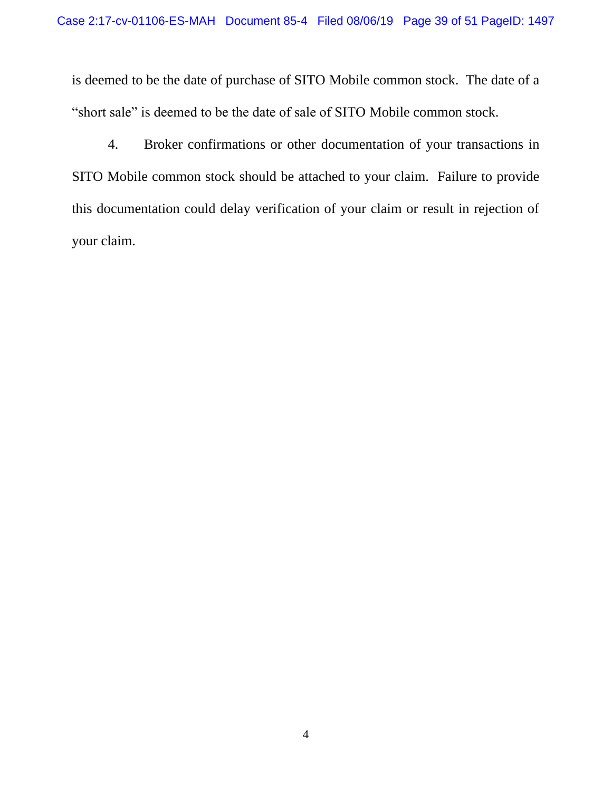is deemed to be the date of purchase of SITO Mobile common stock. The date of a "short sale" is deemed to be the date of sale of SITO Mobile common stock.

4. Broker confirmations or other documentation of your transactions in SITO Mobile common stock should be attached to your claim. Failure to provide this documentation could delay verification of your claim or result in rejection of your claim.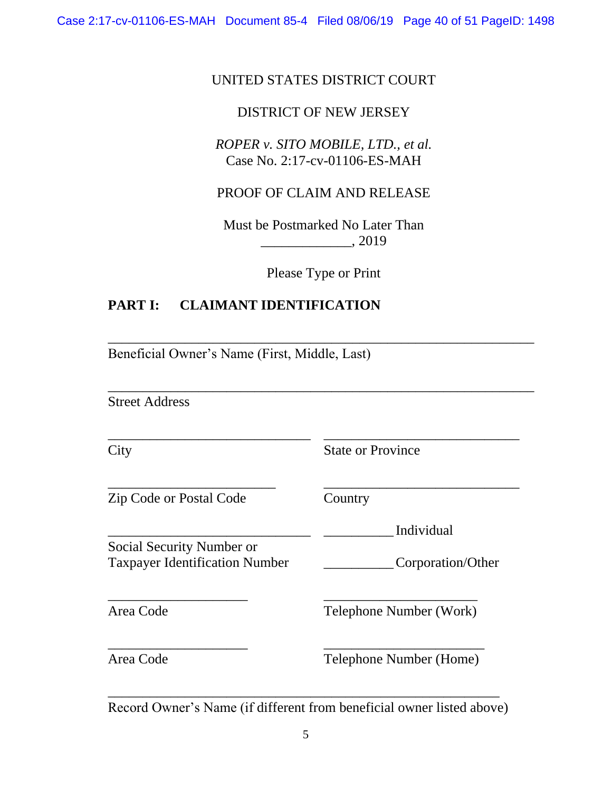# UNITED STATES DISTRICT COURT

# DISTRICT OF NEW JERSEY

*ROPER v. SITO MOBILE, LTD., et al.*  Case No. 2:17-cv-01106-ES-MAH

PROOF OF CLAIM AND RELEASE

Must be Postmarked No Later Than \_\_\_\_\_\_\_\_\_\_\_\_\_, 2019

Please Type or Print

\_\_\_\_\_\_\_\_\_\_\_\_\_\_\_\_\_\_\_\_\_\_\_\_\_\_\_\_\_\_\_\_\_\_\_\_\_\_\_\_\_\_\_\_\_\_\_\_\_\_\_\_\_\_\_\_\_\_\_\_\_

\_\_\_\_\_\_\_\_\_\_\_\_\_\_\_\_\_\_\_\_\_\_\_\_\_\_\_\_\_\_\_\_\_\_\_\_\_\_\_\_\_\_\_\_\_\_\_\_\_\_\_\_\_\_\_\_\_\_\_\_\_

\_\_\_\_\_\_\_\_\_\_\_\_\_\_\_\_\_\_\_\_\_\_\_\_\_\_\_\_\_ \_\_\_\_\_\_\_\_\_\_\_\_\_\_\_\_\_\_\_\_\_\_\_\_\_\_\_\_

\_\_\_\_\_\_\_\_\_\_\_\_\_\_\_\_\_\_\_\_\_\_\_\_ \_\_\_\_\_\_\_\_\_\_\_\_\_\_\_\_\_\_\_\_\_\_\_\_\_\_\_\_

# **PART I: CLAIMANT IDENTIFICATION**

Beneficial Owner's Name (First, Middle, Last)

Street Address

City State or Province

Zip Code or Postal Code Country

\_\_\_\_\_\_\_\_\_\_\_\_\_\_\_\_\_\_\_\_\_\_\_\_\_\_\_\_\_ \_\_\_\_\_\_\_\_\_\_ Individual

Social Security Number or Taxpayer Identification Number \_\_\_\_\_\_\_\_\_\_Corporation/Other

Area Code Telephone Number (Work)

Area Code Telephone Number (Home)

\_\_\_\_\_\_\_\_\_\_\_\_\_\_\_\_\_\_\_\_\_\_\_\_\_\_\_\_\_\_\_\_\_\_\_\_\_\_\_\_\_\_\_\_\_\_\_\_\_\_\_\_\_\_\_\_ Record Owner's Name (if different from beneficial owner listed above)

\_\_\_\_\_\_\_\_\_\_\_\_\_\_\_\_\_\_\_\_ \_\_\_\_\_\_\_\_\_\_\_\_\_\_\_\_\_\_\_\_\_\_

\_\_\_\_\_\_\_\_\_\_\_\_\_\_\_\_\_\_\_\_ \_\_\_\_\_\_\_\_\_\_\_\_\_\_\_\_\_\_\_\_\_\_\_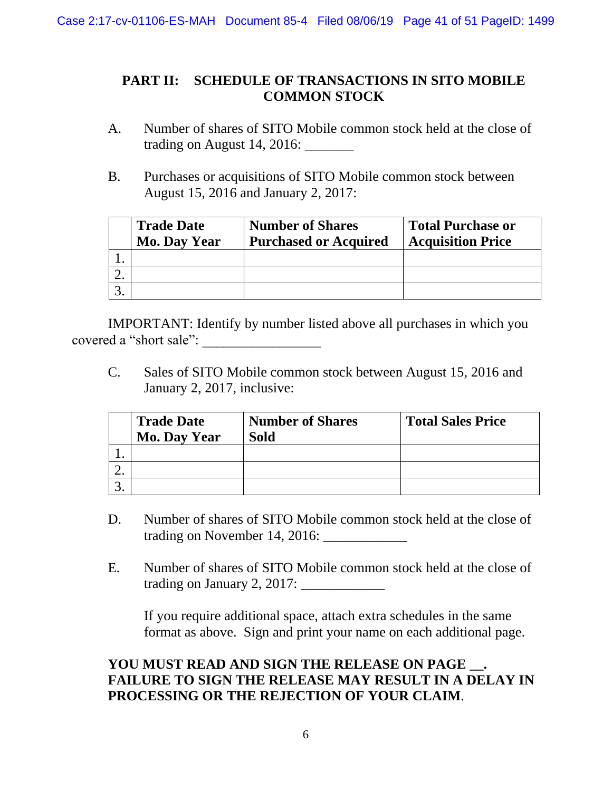# **PART II: SCHEDULE OF TRANSACTIONS IN SITO MOBILE COMMON STOCK**

- A. Number of shares of SITO Mobile common stock held at the close of trading on August 14, 2016: \_\_\_\_\_\_\_
- B. Purchases or acquisitions of SITO Mobile common stock between August 15, 2016 and January 2, 2017:

| <b>Trade Date</b><br><b>Mo. Day Year</b> | <b>Number of Shares</b><br><b>Purchased or Acquired</b> | <b>Total Purchase or</b><br><b>Acquisition Price</b> |
|------------------------------------------|---------------------------------------------------------|------------------------------------------------------|
|                                          |                                                         |                                                      |
|                                          |                                                         |                                                      |
|                                          |                                                         |                                                      |

IMPORTANT: Identify by number listed above all purchases in which you covered a "short sale": \_\_\_\_\_\_\_\_\_\_\_\_\_\_\_\_\_

C. Sales of SITO Mobile common stock between August 15, 2016 and January 2, 2017, inclusive:

| <b>Trade Date</b><br><b>Mo. Day Year</b> | <b>Number of Shares</b><br><b>Sold</b> | <b>Total Sales Price</b> |
|------------------------------------------|----------------------------------------|--------------------------|
|                                          |                                        |                          |
|                                          |                                        |                          |
|                                          |                                        |                          |

- D. Number of shares of SITO Mobile common stock held at the close of trading on November 14, 2016: \_\_\_\_\_\_\_\_\_\_\_\_
- E. Number of shares of SITO Mobile common stock held at the close of trading on January 2, 2017:

If you require additional space, attach extra schedules in the same format as above. Sign and print your name on each additional page.

# YOU MUST READ AND SIGN THE RELEASE ON PAGE . **FAILURE TO SIGN THE RELEASE MAY RESULT IN A DELAY IN PROCESSING OR THE REJECTION OF YOUR CLAIM**.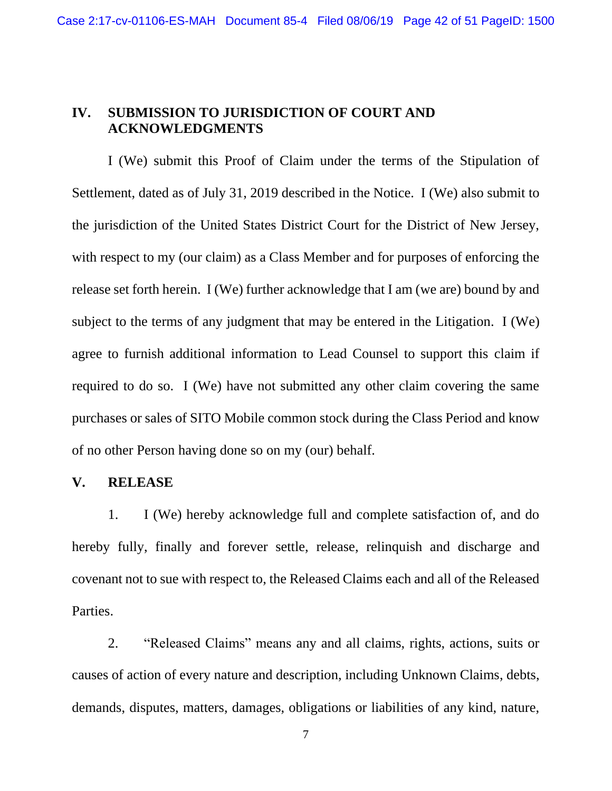# **IV. SUBMISSION TO JURISDICTION OF COURT AND ACKNOWLEDGMENTS**

I (We) submit this Proof of Claim under the terms of the Stipulation of Settlement, dated as of July 31, 2019 described in the Notice. I (We) also submit to the jurisdiction of the United States District Court for the District of New Jersey, with respect to my (our claim) as a Class Member and for purposes of enforcing the release set forth herein. I (We) further acknowledge that I am (we are) bound by and subject to the terms of any judgment that may be entered in the Litigation. I (We) agree to furnish additional information to Lead Counsel to support this claim if required to do so. I (We) have not submitted any other claim covering the same purchases or sales of SITO Mobile common stock during the Class Period and know of no other Person having done so on my (our) behalf.

## **V. RELEASE**

1. I (We) hereby acknowledge full and complete satisfaction of, and do hereby fully, finally and forever settle, release, relinquish and discharge and covenant not to sue with respect to, the Released Claims each and all of the Released Parties.

2. "Released Claims" means any and all claims, rights, actions, suits or causes of action of every nature and description, including Unknown Claims, debts, demands, disputes, matters, damages, obligations or liabilities of any kind, nature,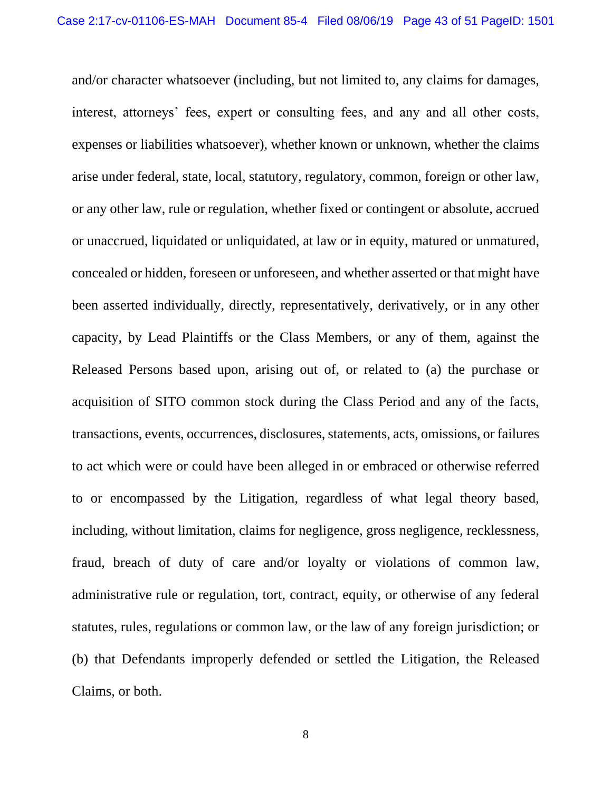and/or character whatsoever (including, but not limited to, any claims for damages, interest, attorneys' fees, expert or consulting fees, and any and all other costs, expenses or liabilities whatsoever), whether known or unknown, whether the claims arise under federal, state, local, statutory, regulatory, common, foreign or other law, or any other law, rule or regulation, whether fixed or contingent or absolute, accrued or unaccrued, liquidated or unliquidated, at law or in equity, matured or unmatured, concealed or hidden, foreseen or unforeseen, and whether asserted or that might have been asserted individually, directly, representatively, derivatively, or in any other capacity, by Lead Plaintiffs or the Class Members, or any of them, against the Released Persons based upon, arising out of, or related to (a) the purchase or acquisition of SITO common stock during the Class Period and any of the facts, transactions, events, occurrences, disclosures, statements, acts, omissions, or failures to act which were or could have been alleged in or embraced or otherwise referred to or encompassed by the Litigation, regardless of what legal theory based, including, without limitation, claims for negligence, gross negligence, recklessness, fraud, breach of duty of care and/or loyalty or violations of common law, administrative rule or regulation, tort, contract, equity, or otherwise of any federal statutes, rules, regulations or common law, or the law of any foreign jurisdiction; or (b) that Defendants improperly defended or settled the Litigation, the Released Claims, or both.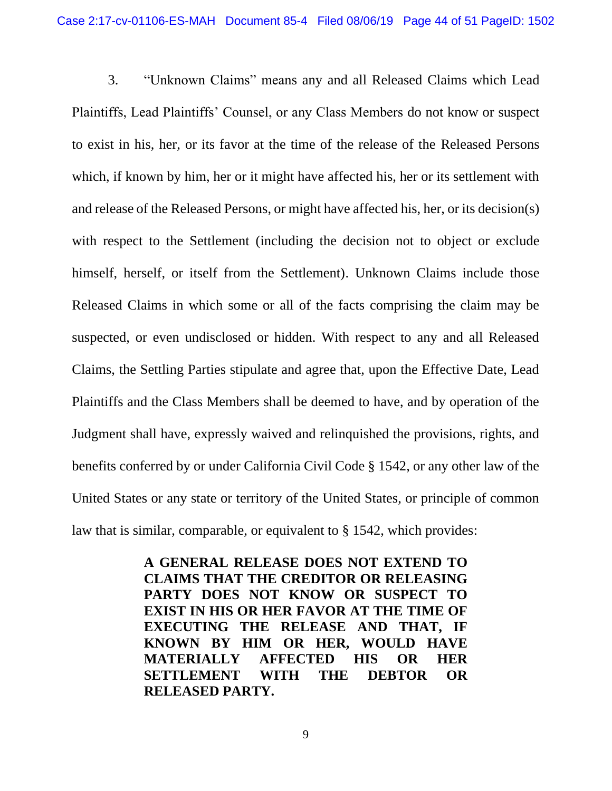3. "Unknown Claims" means any and all Released Claims which Lead Plaintiffs, Lead Plaintiffs' Counsel, or any Class Members do not know or suspect to exist in his, her, or its favor at the time of the release of the Released Persons which, if known by him, her or it might have affected his, her or its settlement with and release of the Released Persons, or might have affected his, her, or its decision(s) with respect to the Settlement (including the decision not to object or exclude himself, herself, or itself from the Settlement). Unknown Claims include those Released Claims in which some or all of the facts comprising the claim may be suspected, or even undisclosed or hidden. With respect to any and all Released Claims, the Settling Parties stipulate and agree that, upon the Effective Date, Lead Plaintiffs and the Class Members shall be deemed to have, and by operation of the Judgment shall have, expressly waived and relinquished the provisions, rights, and benefits conferred by or under California Civil Code § 1542, or any other law of the United States or any state or territory of the United States, or principle of common law that is similar, comparable, or equivalent to § 1542, which provides:

> **A GENERAL RELEASE DOES NOT EXTEND TO CLAIMS THAT THE CREDITOR OR RELEASING PARTY DOES NOT KNOW OR SUSPECT TO EXIST IN HIS OR HER FAVOR AT THE TIME OF EXECUTING THE RELEASE AND THAT, IF KNOWN BY HIM OR HER, WOULD HAVE MATERIALLY AFFECTED HIS OR HER SETTLEMENT WITH THE DEBTOR OR RELEASED PARTY.**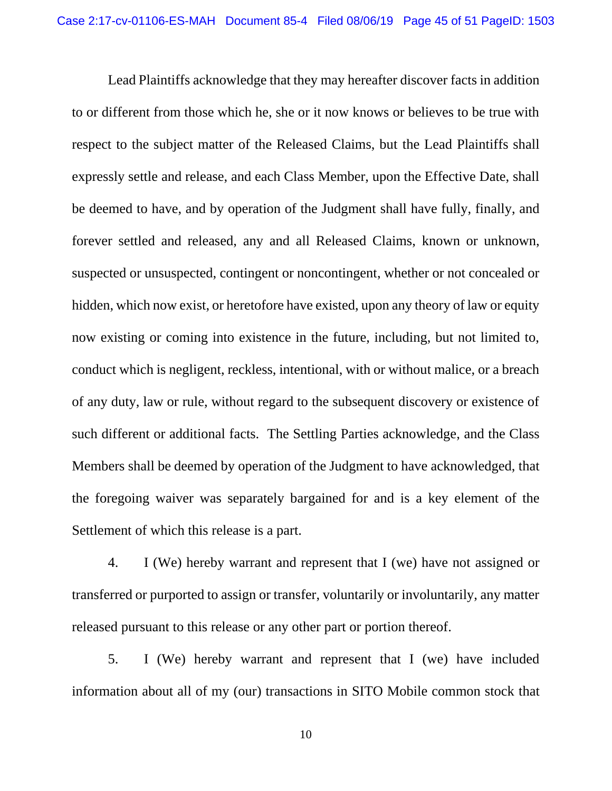Lead Plaintiffs acknowledge that they may hereafter discover facts in addition to or different from those which he, she or it now knows or believes to be true with respect to the subject matter of the Released Claims, but the Lead Plaintiffs shall expressly settle and release, and each Class Member, upon the Effective Date, shall be deemed to have, and by operation of the Judgment shall have fully, finally, and forever settled and released, any and all Released Claims, known or unknown, suspected or unsuspected, contingent or noncontingent, whether or not concealed or hidden, which now exist, or heretofore have existed, upon any theory of law or equity now existing or coming into existence in the future, including, but not limited to, conduct which is negligent, reckless, intentional, with or without malice, or a breach of any duty, law or rule, without regard to the subsequent discovery or existence of such different or additional facts. The Settling Parties acknowledge, and the Class Members shall be deemed by operation of the Judgment to have acknowledged, that the foregoing waiver was separately bargained for and is a key element of the Settlement of which this release is a part.

4. I (We) hereby warrant and represent that I (we) have not assigned or transferred or purported to assign or transfer, voluntarily or involuntarily, any matter released pursuant to this release or any other part or portion thereof.

5. I (We) hereby warrant and represent that I (we) have included information about all of my (our) transactions in SITO Mobile common stock that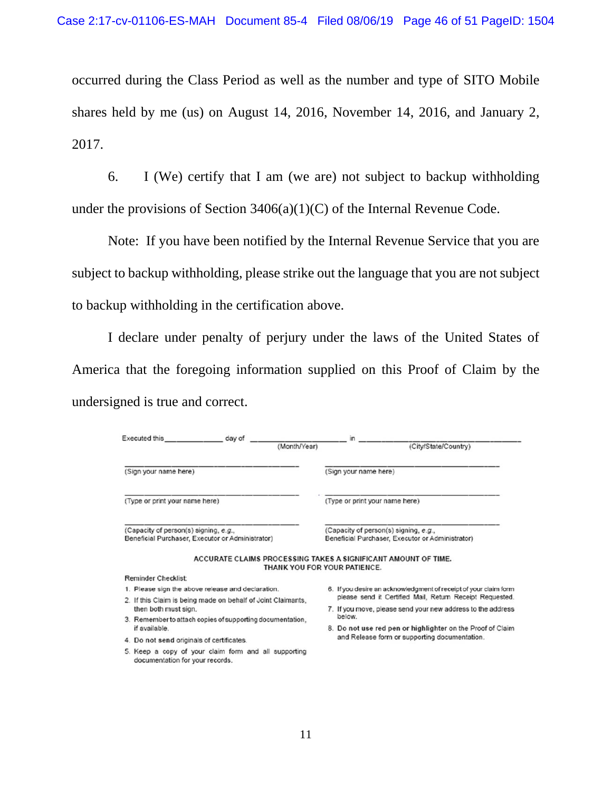occurred during the Class Period as well as the number and type of SITO Mobile shares held by me (us) on August 14, 2016, November 14, 2016, and January 2, 2017.

6. I (We) certify that I am (we are) not subject to backup withholding under the provisions of Section 3406(a)(1)(C) of the Internal Revenue Code.

Note: If you have been notified by the Internal Revenue Service that you are subject to backup withholding, please strike out the language that you are not subject to backup withholding in the certification above.

I declare under penalty of perjury under the laws of the United States of America that the foregoing information supplied on this Proof of Claim by the undersigned is true and correct.

| Executed this                                                                             | day of | (Month/Year) |                                | (City/State/Country)                                                                      |  |
|-------------------------------------------------------------------------------------------|--------|--------------|--------------------------------|-------------------------------------------------------------------------------------------|--|
|                                                                                           |        |              |                                |                                                                                           |  |
| (Sign your name here)                                                                     |        |              | (Sign your name here)          |                                                                                           |  |
| (Type or print your name here)                                                            |        |              | (Type or print your name here) |                                                                                           |  |
| (Capacity of person(s) signing, e.g.,<br>Beneficial Purchaser, Executor or Administrator) |        |              |                                | (Capacity of person(s) signing, e.g.,<br>Beneficial Purchaser, Executor or Administrator) |  |
|                                                                                           |        |              | THANK YOU FOR YOUR PATIENCE.   | ACCURATE CLAIMS PROCESSING TAKES A SIGNIFICANT AMOUNT OF TIME.                            |  |
| <b>Reminder Checklist:</b>                                                                |        |              |                                |                                                                                           |  |
| 1. Please sign the above release and declaration.                                         |        |              |                                | 6. If you desire an acknowledgment of receipt of your claim form                          |  |
| 2. If this Claim is being made on behalf of Joint Claimants,                              |        |              |                                | please send it Certified Mail, Return Receipt Requested.                                  |  |
| then both must sign.                                                                      |        |              | below.                         | 7. If you move, please send your new address to the address                               |  |
| 3. Remember to attach copies of supporting documentation,<br>if available.                |        |              |                                | 8. Do not use red pen or highlighter on the Proof of Claim                                |  |
| 4. Do not send originals of certificates.                                                 |        |              |                                | and Release form or supporting documentation.                                             |  |
| 5. Keep a copy of your claim form and all supporting<br>documentation for your records.   |        |              |                                |                                                                                           |  |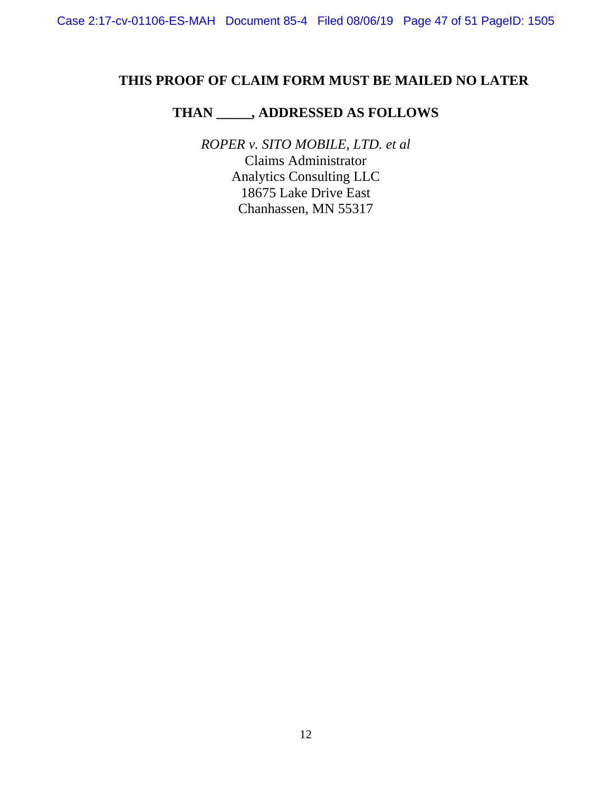# **THIS PROOF OF CLAIM FORM MUST BE MAILED NO LATER**

# **THAN \_\_\_\_\_, ADDRESSED AS FOLLOWS**

*ROPER v. SITO MOBILE, LTD. et al*  Claims Administrator Analytics Consulting LLC 18675 Lake Drive East Chanhassen, MN 55317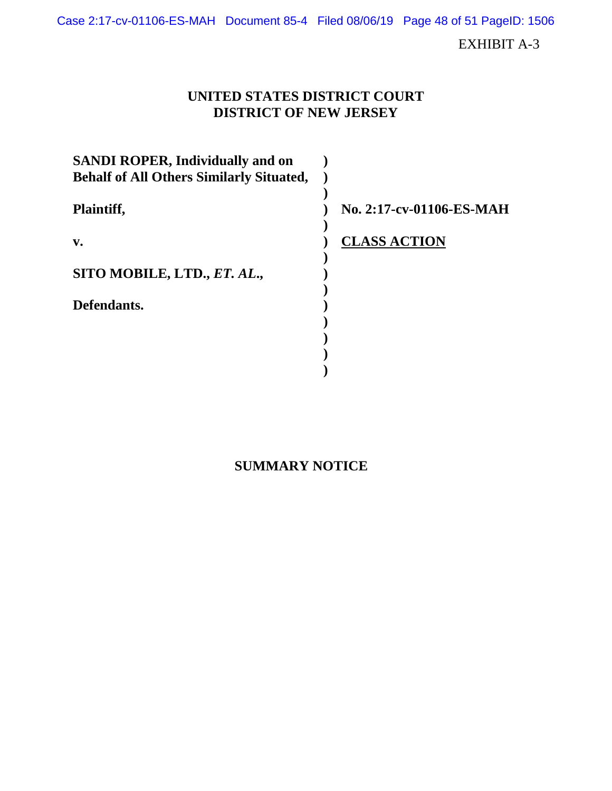Case 2:17-cv-01106-ES-MAH Document 85-4 Filed 08/06/19 Page 48 of 51 PageID: 1506

EXHIBIT A-3

# **UNITED STATES DISTRICT COURT DISTRICT OF NEW JERSEY**

| <b>SANDI ROPER, Individually and on</b><br><b>Behalf of All Others Similarly Situated,</b> |                          |
|--------------------------------------------------------------------------------------------|--------------------------|
| Plaintiff,                                                                                 | No. 2:17-cv-01106-ES-MAH |
| $V_{\bullet}$                                                                              | <b>CLASS ACTION</b>      |
| SITO MOBILE, LTD., ET. AL.,                                                                |                          |
| Defendants.                                                                                |                          |
|                                                                                            |                          |
|                                                                                            |                          |

# **SUMMARY NOTICE**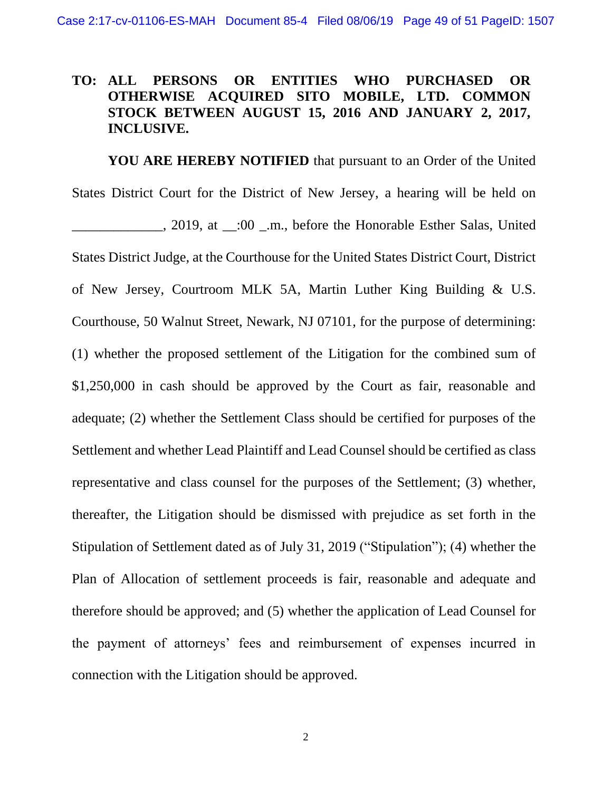## **TO: ALL PERSONS OR ENTITIES WHO PURCHASED OR OTHERWISE ACQUIRED SITO MOBILE, LTD. COMMON STOCK BETWEEN AUGUST 15, 2016 AND JANUARY 2, 2017, INCLUSIVE.**

**YOU ARE HEREBY NOTIFIED** that pursuant to an Order of the United States District Court for the District of New Jersey, a hearing will be held on \_\_\_\_\_\_\_\_\_\_\_\_\_, 2019, at \_\_:00 \_.m., before the Honorable Esther Salas, United States District Judge, at the Courthouse for the United States District Court, District of New Jersey, Courtroom MLK 5A, Martin Luther King Building & U.S. Courthouse, 50 Walnut Street, Newark, NJ 07101, for the purpose of determining: (1) whether the proposed settlement of the Litigation for the combined sum of \$1,250,000 in cash should be approved by the Court as fair, reasonable and adequate; (2) whether the Settlement Class should be certified for purposes of the Settlement and whether Lead Plaintiff and Lead Counsel should be certified as class representative and class counsel for the purposes of the Settlement; (3) whether, thereafter, the Litigation should be dismissed with prejudice as set forth in the Stipulation of Settlement dated as of July 31, 2019 ("Stipulation"); (4) whether the Plan of Allocation of settlement proceeds is fair, reasonable and adequate and therefore should be approved; and (5) whether the application of Lead Counsel for the payment of attorneys' fees and reimbursement of expenses incurred in connection with the Litigation should be approved.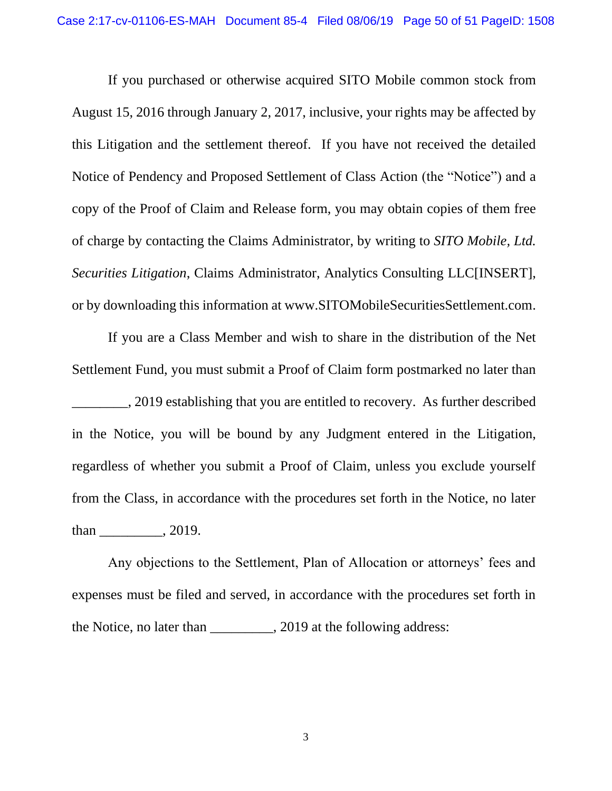If you purchased or otherwise acquired SITO Mobile common stock from August 15, 2016 through January 2, 2017, inclusive, your rights may be affected by this Litigation and the settlement thereof. If you have not received the detailed Notice of Pendency and Proposed Settlement of Class Action (the "Notice") and a copy of the Proof of Claim and Release form, you may obtain copies of them free of charge by contacting the Claims Administrator, by writing to *SITO Mobile, Ltd. Securities Litigation*, Claims Administrator, Analytics Consulting LLC[INSERT], or by downloading this information at www.SITOMobileSecuritiesSettlement.com.

If you are a Class Member and wish to share in the distribution of the Net Settlement Fund, you must submit a Proof of Claim form postmarked no later than \_\_\_\_\_\_\_\_, 2019 establishing that you are entitled to recovery. As further described in the Notice, you will be bound by any Judgment entered in the Litigation, regardless of whether you submit a Proof of Claim, unless you exclude yourself from the Class, in accordance with the procedures set forth in the Notice, no later than \_\_\_\_\_\_\_\_\_, 2019.

Any objections to the Settlement, Plan of Allocation or attorneys' fees and expenses must be filed and served, in accordance with the procedures set forth in the Notice, no later than \_\_\_\_\_\_\_\_\_, 2019 at the following address: